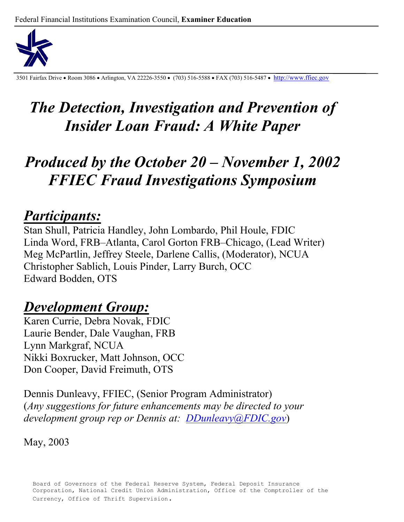

3501 Fairfax Drive • Room 3086 • Arlington, VA 22226-3550 • (703) 516-5588 • FAX (703) 516-5487 • http://www.ffiec.gov

# *The Detection, Investigation and Prevention of Insider Loan Fraud: A White Paper*

# *Produced by the October 20 – November 1, 2002 FFIEC Fraud Investigations Symposium*

# *Participants:*

Stan Shull, Patricia Handley, John Lombardo, Phil Houle, FDIC Linda Word, FRB–Atlanta, Carol Gorton FRB–Chicago, (Lead Writer) Meg McPartlin, Jeffrey Steele, Darlene Callis, (Moderator), NCUA Christopher Sablich, Louis Pinder, Larry Burch, OCC Edward Bodden, OTS

# *Development Group:*

Karen Currie, Debra Novak, FDIC Laurie Bender, Dale Vaughan, FRB Lynn Markgraf, NCUA Nikki Boxrucker, Matt Johnson, OCC Don Cooper, David Freimuth, OTS

Dennis Dunleavy, FFIEC, (Senior Program Administrator) (*Any suggestions for future enhancements may be directed to your development group rep or Dennis at: DDunleavy@FDIC.gov*)

May, 2003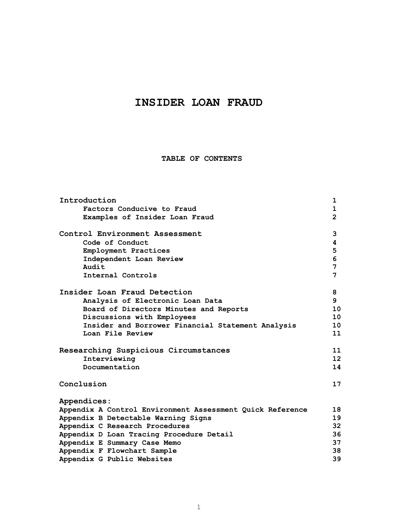# **INSIDER LOAN FRAUD**

**TABLE OF CONTENTS** 

| Introduction                                              | $\mathbf{1}$      |
|-----------------------------------------------------------|-------------------|
| Factors Conducive to Fraud                                | $\mathbf{1}$      |
| Examples of Insider Loan Fraud                            | $\overline{2}$    |
| Control Environment Assessment                            | 3                 |
| Code of Conduct                                           | 4                 |
| Employment Practices                                      | 5                 |
| Independent Loan Review                                   | 6                 |
| Audit                                                     | 7                 |
| Internal Controls                                         | 7                 |
| Insider Loan Fraud Detection                              | 8                 |
| Analysis of Electronic Loan Data                          | 9                 |
| Board of Directors Minutes and Reports                    | 10                |
| Discussions with Employees                                | 10                |
| Insider and Borrower Financial Statement Analysis         | 10                |
| Loan File Review                                          | 11                |
| Researching Suspicious Circumstances                      | 11                |
| Interviewing                                              | $12 \overline{ }$ |
| Documentation                                             | 14                |
| Conclusion                                                | 17                |
| Appendices:                                               |                   |
| Appendix A Control Environment Assessment Quick Reference | 18                |
| Appendix B Detectable Warning Signs                       | 19                |
| Appendix C Research Procedures                            | 32 <sub>2</sub>   |
| Appendix D Loan Tracing Procedure Detail                  | 36                |
| Appendix E Summary Case Memo                              | 37                |
| Appendix F Flowchart Sample                               | 38                |
| Appendix G Public Websites                                | 39                |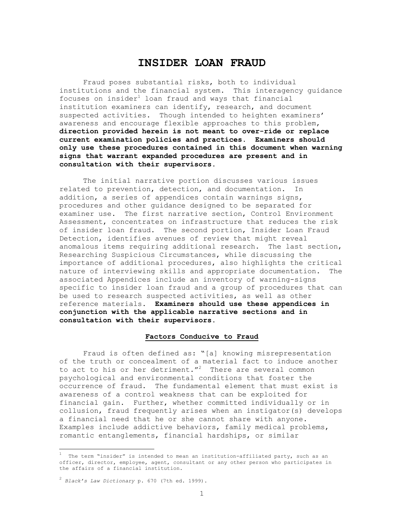# **INSIDER LOAN FRAUD**

Fraud poses substantial risks, both to individual institutions and the financial system. This interagency guidance focuses on insider $^1$  loan fraud and ways that financial institution examiners can identify, research, and document suspected activities. Though intended to heighten examiners' awareness and encourage flexible approaches to this problem, **direction provided herein is not meant to over-ride or replace current examination policies and practices. Examiners should only use these procedures contained in this document when warning signs that warrant expanded procedures are present and in consultation with their supervisors.** 

The initial narrative portion discusses various issues related to prevention, detection, and documentation. In addition, a series of appendices contain warnings signs, procedures and other guidance designed to be separated for examiner use. The first narrative section, Control Environment Assessment, concentrates on infrastructure that reduces the risk of insider loan fraud. The second portion, Insider Loan Fraud Detection, identifies avenues of review that might reveal anomalous items requiring additional research. The last section, Researching Suspicious Circumstances, while discussing the importance of additional procedures, also highlights the critical nature of interviewing skills and appropriate documentation. The associated Appendices include an inventory of warning-signs specific to insider loan fraud and a group of procedures that can be used to research suspected activities, as well as other reference materials. **Examiners should use these appendices in conjunction with the applicable narrative sections and in consultation with their supervisors.**

#### **Factors Conducive to Fraud**

Fraud is often defined as: "[a] knowing misrepresentation of the truth or concealment of a material fact to induce another to act to his or her detriment."<sup>2</sup> There are several common psychological and environmental conditions that foster the occurrence of fraud. The fundamental element that must exist is awareness of a control weakness that can be exploited for financial gain. Further, whether committed individually or in collusion, fraud frequently arises when an instigator(s) develops a financial need that he or she cannot share with anyone. Examples include addictive behaviors, family medical problems, romantic entanglements, financial hardships, or similar

L,

<sup>&</sup>lt;sup>1</sup> The term "insider" is intended to mean an institution-affiliated party, such as an officer, director, employee, agent, consultant or any other person who participates in the affairs of a financial institution.

<sup>2</sup> *Black's Law Dictionary* p. 670 (7th ed. 1999).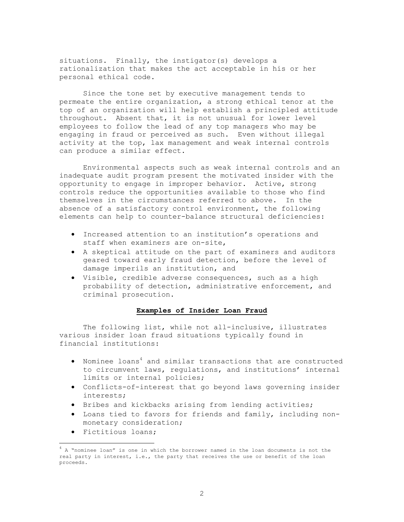situations. Finally, the instigator(s) develops a rationalization that makes the act acceptable in his or her personal ethical code.

Since the tone set by executive management tends to permeate the entire organization, a strong ethical tenor at the top of an organization will help establish a principled attitude throughout. Absent that, it is not unusual for lower level employees to follow the lead of any top managers who may be engaging in fraud or perceived as such. Even without illegal activity at the top, lax management and weak internal controls can produce a similar effect.

 Environmental aspects such as weak internal controls and an inadequate audit program present the motivated insider with the opportunity to engage in improper behavior. Active, strong controls reduce the opportunities available to those who find themselves in the circumstances referred to above. In the absence of a satisfactory control environment, the following elements can help to counter-balance structural deficiencies:

- Increased attention to an institution's operations and staff when examiners are on-site,
- A skeptical attitude on the part of examiners and auditors geared toward early fraud detection, before the level of damage imperils an institution, and
- Visible, credible adverse consequences, such as a high probability of detection, administrative enforcement, and criminal prosecution.

#### **Examples of Insider Loan Fraud**

The following list, while not all-inclusive, illustrates various insider loan fraud situations typically found in financial institutions:

- Nominee loans<sup>4</sup> and similar transactions that are constructed to circumvent laws, regulations, and institutions' internal limits or internal policies;
- Conflicts-of-interest that go beyond laws governing insider interests;
- Bribes and kickbacks arising from lending activities;
- Loans tied to favors for friends and family, including nonmonetary consideration;
- Fictitious loans;

i

 $4$  A "nominee loan" is one in which the borrower named in the loan documents is not the real party in interest, i.e., the party that receives the use or benefit of the loan proceeds.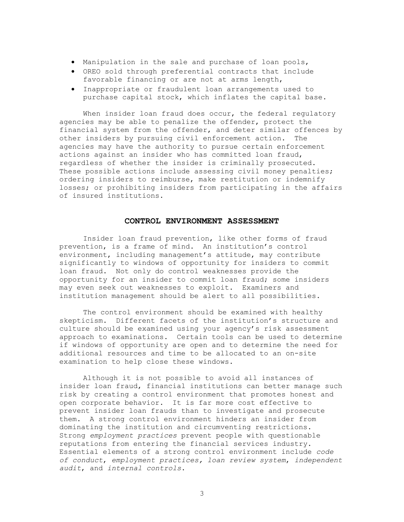- Manipulation in the sale and purchase of loan pools,
- OREO sold through preferential contracts that include favorable financing or are not at arms length,
- Inappropriate or fraudulent loan arrangements used to purchase capital stock, which inflates the capital base.

 When insider loan fraud does occur, the federal regulatory agencies may be able to penalize the offender, protect the financial system from the offender, and deter similar offences by other insiders by pursuing civil enforcement action. The agencies may have the authority to pursue certain enforcement actions against an insider who has committed loan fraud, regardless of whether the insider is criminally prosecuted. These possible actions include assessing civil money penalties; ordering insiders to reimburse, make restitution or indemnify losses; or prohibiting insiders from participating in the affairs of insured institutions.

#### **CONTROL ENVIRONMENT ASSESSMENT**

Insider loan fraud prevention, like other forms of fraud prevention, is a frame of mind. An institution's control environment, including management's attitude, may contribute significantly to windows of opportunity for insiders to commit loan fraud. Not only do control weaknesses provide the opportunity for an insider to commit loan fraud; some insiders may even seek out weaknesses to exploit. Examiners and institution management should be alert to all possibilities.

The control environment should be examined with healthy skepticism. Different facets of the institution's structure and culture should be examined using your agency's risk assessment approach to examinations. Certain tools can be used to determine if windows of opportunity are open and to determine the need for additional resources and time to be allocated to an on-site examination to help close these windows.

Although it is not possible to avoid all instances of insider loan fraud, financial institutions can better manage such risk by creating a control environment that promotes honest and open corporate behavior. It is far more cost effective to prevent insider loan frauds than to investigate and prosecute them. A strong control environment hinders an insider from dominating the institution and circumventing restrictions. Strong *employment practices* prevent people with questionable reputations from entering the financial services industry. Essential elements of a strong control environment include *code of conduct*, *employment practices, loan review system*, *independent audit*, and *internal controls*.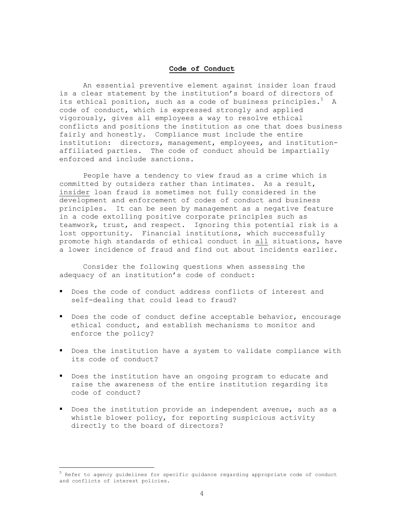#### **Code of Conduct**

An essential preventive element against insider loan fraud is a clear statement by the institution's board of directors of its ethical position, such as a code of business principles.<sup>5</sup> A code of conduct, which is expressed strongly and applied vigorously, gives all employees a way to resolve ethical conflicts and positions the institution as one that does business fairly and honestly. Compliance must include the entire institution: directors, management, employees, and institutionaffiliated parties. The code of conduct should be impartially enforced and include sanctions.

People have a tendency to view fraud as a crime which is committed by outsiders rather than intimates. As a result, insider loan fraud is sometimes not fully considered in the development and enforcement of codes of conduct and business principles. It can be seen by management as a negative feature in a code extolling positive corporate principles such as teamwork, trust, and respect. Ignoring this potential risk is a lost opportunity. Financial institutions, which successfully promote high standards of ethical conduct in all situations, have a lower incidence of fraud and find out about incidents earlier.

Consider the following questions when assessing the adequacy of an institution's code of conduct:

- Does the code of conduct address conflicts of interest and self-dealing that could lead to fraud?
- Does the code of conduct define acceptable behavior, encourage ethical conduct, and establish mechanisms to monitor and enforce the policy?
- Does the institution have a system to validate compliance with its code of conduct?
- Does the institution have an ongoing program to educate and raise the awareness of the entire institution regarding its code of conduct?
- Does the institution provide an independent avenue, such as a whistle blower policy, for reporting suspicious activity directly to the board of directors?

 $\equiv$ 

 $^5$  Refer to agency guidelines for specific guidance regarding appropriate code of conduct and conflicts of interest policies.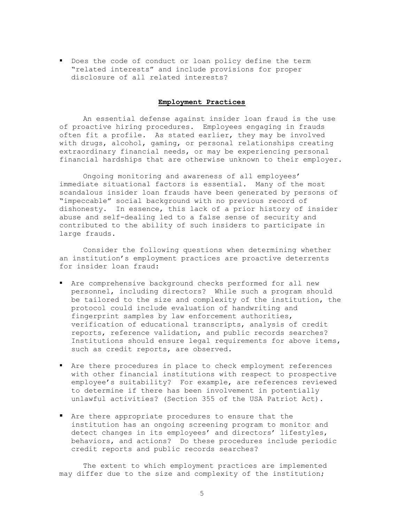Does the code of conduct or loan policy define the term "related interests" and include provisions for proper disclosure of all related interests?

#### **Employment Practices**

An essential defense against insider loan fraud is the use of proactive hiring procedures. Employees engaging in frauds often fit a profile. As stated earlier, they may be involved with drugs, alcohol, gaming, or personal relationships creating extraordinary financial needs, or may be experiencing personal financial hardships that are otherwise unknown to their employer.

Ongoing monitoring and awareness of all employees' immediate situational factors is essential. Many of the most scandalous insider loan frauds have been generated by persons of "impeccable" social background with no previous record of dishonesty. In essence, this lack of a prior history of insider abuse and self-dealing led to a false sense of security and contributed to the ability of such insiders to participate in large frauds.

Consider the following questions when determining whether an institution's employment practices are proactive deterrents for insider loan fraud:

- Are comprehensive background checks performed for all new personnel, including directors? While such a program should be tailored to the size and complexity of the institution, the protocol could include evaluation of handwriting and fingerprint samples by law enforcement authorities, verification of educational transcripts, analysis of credit reports, reference validation, and public records searches? Institutions should ensure legal requirements for above items, such as credit reports, are observed.
- Are there procedures in place to check employment references with other financial institutions with respect to prospective employee's suitability? For example, are references reviewed to determine if there has been involvement in potentially unlawful activities? (Section 355 of the USA Patriot Act).
- Are there appropriate procedures to ensure that the institution has an ongoing screening program to monitor and detect changes in its employees' and directors' lifestyles, behaviors, and actions? Do these procedures include periodic credit reports and public records searches?

The extent to which employment practices are implemented may differ due to the size and complexity of the institution;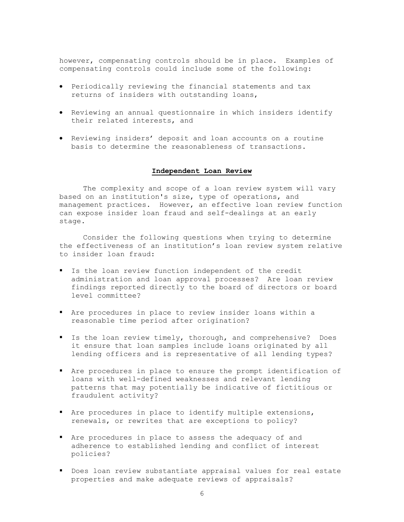however, compensating controls should be in place. Examples of compensating controls could include some of the following:

- Periodically reviewing the financial statements and tax returns of insiders with outstanding loans,
- Reviewing an annual questionnaire in which insiders identify their related interests, and
- Reviewing insiders' deposit and loan accounts on a routine basis to determine the reasonableness of transactions.

### **Independent Loan Review**

The complexity and scope of a loan review system will vary based on an institution's size, type of operations, and management practices. However, an effective loan review function can expose insider loan fraud and self-dealings at an early stage.

Consider the following questions when trying to determine the effectiveness of an institution's loan review system relative to insider loan fraud:

- Is the loan review function independent of the credit administration and loan approval processes? Are loan review findings reported directly to the board of directors or board level committee?
- Are procedures in place to review insider loans within a reasonable time period after origination?
- I s the loan review timely, thorough, and comprehensive? Does it ensure that loan samples include loans originated by all lending officers and is representative of all lending types?
- Are procedures in place to ensure the prompt identification of loans with well-defined weaknesses and relevant lending patterns that may potentially be indicative of fictitious or fraudulent activity?
- Are procedures in place to identify multiple extensions, renewals, or rewrites that are exceptions to policy?
- Are procedures in place to assess the adequacy of and adherence to established lending and conflict of interest policies?
- Does loan review substantiate appraisal values for real estate properties and make adequate reviews of appraisals?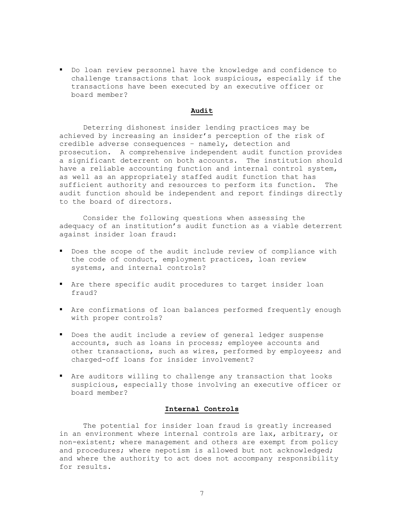Do loan review personnel have the knowledge and confidence to challenge transactions that look suspicious, especially if the transactions have been executed by an executive officer or board member?

#### **Audit**

Deterring dishonest insider lending practices may be achieved by increasing an insider's perception of the risk of credible adverse consequences – namely, detection and prosecution. A comprehensive independent audit function provides a significant deterrent on both accounts. The institution should have a reliable accounting function and internal control system, as well as an appropriately staffed audit function that has sufficient authority and resources to perform its function. The audit function should be independent and report findings directly to the board of directors.

Consider the following questions when assessing the adequacy of an institution's audit function as a viable deterrent against insider loan fraud:

- **P** Does the scope of the audit include review of compliance with the code of conduct, employment practices, loan review systems, and internal controls?
- Are there specific audit procedures to target insider loan fraud?
- Are confirmations of loan balances performed frequently enough with proper controls?
- Does the audit include a review of general ledger suspense accounts, such as loans in process; employee accounts and other transactions, such as wires, performed by employees; and charged-off loans for insider involvement?
- Are auditors willing to challenge any transaction that looks suspicious, especially those involving an executive officer or board member?

#### **Internal Controls**

The potential for insider loan fraud is greatly increased in an environment where internal controls are lax, arbitrary, or non-existent; where management and others are exempt from policy and procedures; where nepotism is allowed but not acknowledged; and where the authority to act does not accompany responsibility for results.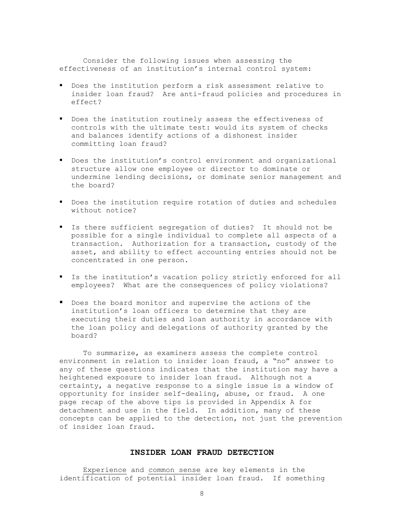Consider the following issues when assessing the effectiveness of an institution's internal control system:

- Does the institution perform a risk assessment relative to insider loan fraud? Are anti-fraud policies and procedures in effect?
- Does the institution routinely assess the effectiveness of controls with the ultimate test: would its system of checks and balances identify actions of a dishonest insider committing loan fraud?
- Does the institution's control environment and organizational structure allow one employee or director to dominate or undermine lending decisions, or dominate senior management and the board?
- Does the institution require rotation of duties and schedules without notice?
- Is there sufficient segregation of duties? It should not be possible for a single individual to complete all aspects of a transaction. Authorization for a transaction, custody of the asset, and ability to effect accounting entries should not be concentrated in one person.
- Is the institution's vacation policy strictly enforced for all employees? What are the consequences of policy violations?
- **P** Does the board monitor and supervise the actions of the institution's loan officers to determine that they are executing their duties and loan authority in accordance with the loan policy and delegations of authority granted by the board?

To summarize, as examiners assess the complete control environment in relation to insider loan fraud, a "no" answer to any of these questions indicates that the institution may have a heightened exposure to insider loan fraud. Although not a certainty, a negative response to a single issue is a window of opportunity for insider self-dealing, abuse, or fraud. A one page recap of the above tips is provided in Appendix A for detachment and use in the field. In addition, many of these concepts can be applied to the detection, not just the prevention of insider loan fraud.

# **INSIDER LOAN FRAUD DETECTION**

Experience and common sense are key elements in the identification of potential insider loan fraud. If something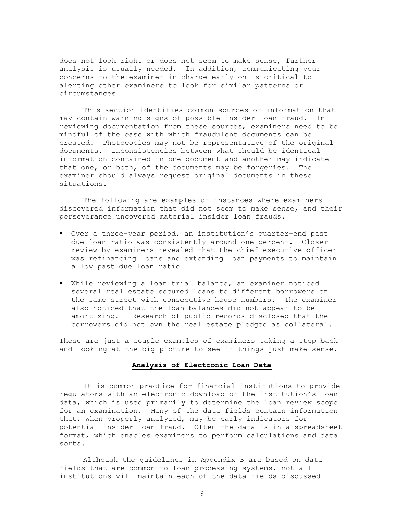does not look right or does not seem to make sense, further analysis is usually needed. In addition, communicating your concerns to the examiner-in-charge early on is critical to alerting other examiners to look for similar patterns or circumstances.

This section identifies common sources of information that may contain warning signs of possible insider loan fraud. In reviewing documentation from these sources, examiners need to be mindful of the ease with which fraudulent documents can be created. Photocopies may not be representative of the original documents. Inconsistencies between what should be identical information contained in one document and another may indicate that one, or both, of the documents may be forgeries. The examiner should always request original documents in these situations.

 The following are examples of instances where examiners discovered information that did not seem to make sense, and their perseverance uncovered material insider loan frauds.

- Over a three-year period, an institution's quarter-end past due loan ratio was consistently around one percent. Closer review by examiners revealed that the chief executive officer was refinancing loans and extending loan payments to maintain a low past due loan ratio.
- While reviewing a loan trial balance, an examiner noticed several real estate secured loans to different borrowers on the same street with consecutive house numbers. The examiner also noticed that the loan balances did not appear to be amortizing. Research of public records disclosed that the borrowers did not own the real estate pledged as collateral.

These are just a couple examples of examiners taking a step back and looking at the big picture to see if things just make sense.

#### **Analysis of Electronic Loan Data**

It is common practice for financial institutions to provide regulators with an electronic download of the institution's loan data, which is used primarily to determine the loan review scope for an examination. Many of the data fields contain information that, when properly analyzed, may be early indicators for potential insider loan fraud. Often the data is in a spreadsheet format, which enables examiners to perform calculations and data sorts.

Although the guidelines in Appendix B are based on data fields that are common to loan processing systems, not all institutions will maintain each of the data fields discussed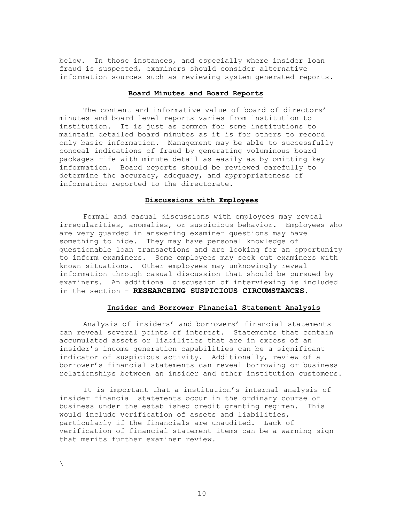below. In those instances, and especially where insider loan fraud is suspected, examiners should consider alternative information sources such as reviewing system generated reports.

#### **Board Minutes and Board Reports**

The content and informative value of board of directors' minutes and board level reports varies from institution to institution. It is just as common for some institutions to maintain detailed board minutes as it is for others to record only basic information. Management may be able to successfully conceal indications of fraud by generating voluminous board packages rife with minute detail as easily as by omitting key information. Board reports should be reviewed carefully to determine the accuracy, adequacy, and appropriateness of information reported to the directorate.

#### **Discussions with Employees**

Formal and casual discussions with employees may reveal irregularities, anomalies, or suspicious behavior. Employees who are very guarded in answering examiner questions may have something to hide. They may have personal knowledge of questionable loan transactions and are looking for an opportunity to inform examiners. Some employees may seek out examiners with known situations. Other employees may unknowingly reveal information through casual discussion that should be pursued by examiners. An additional discussion of interviewing is included in the section - **RESEARCHING SUSPICIOUS CIRCUMSTANCES**.

#### **Insider and Borrower Financial Statement Analysis**

Analysis of insiders' and borrowers' financial statements can reveal several points of interest. Statements that contain accumulated assets or liabilities that are in excess of an insider's income generation capabilities can be a significant indicator of suspicious activity. Additionally, review of a borrower's financial statements can reveal borrowing or business relationships between an insider and other institution customers.

It is important that a institution's internal analysis of insider financial statements occur in the ordinary course of business under the established credit granting regimen. This would include verification of assets and liabilities, particularly if the financials are unaudited. Lack of verification of financial statement items can be a warning sign that merits further examiner review.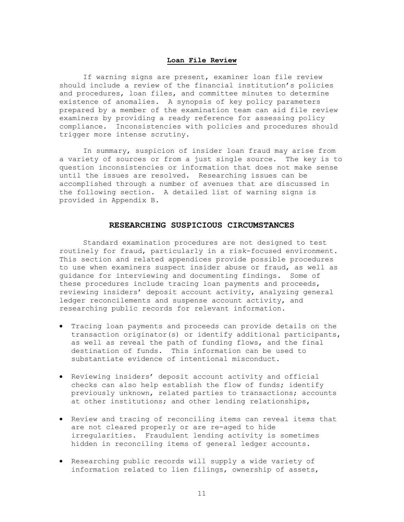#### **Loan File Review**

If warning signs are present, examiner loan file review should include a review of the financial institution's policies and procedures, loan files, and committee minutes to determine existence of anomalies. A synopsis of key policy parameters prepared by a member of the examination team can aid file review examiners by providing a ready reference for assessing policy compliance. Inconsistencies with policies and procedures should trigger more intense scrutiny.

 In summary, suspicion of insider loan fraud may arise from a variety of sources or from a just single source. The key is to question inconsistencies or information that does not make sense until the issues are resolved. Researching issues can be accomplished through a number of avenues that are discussed in the following section. A detailed list of warning signs is provided in Appendix B.

#### **RESEARCHING SUSPICIOUS CIRCUMSTANCES**

Standard examination procedures are not designed to test routinely for fraud, particularly in a risk-focused environment. This section and related appendices provide possible procedures to use when examiners suspect insider abuse or fraud, as well as guidance for interviewing and documenting findings. Some of these procedures include tracing loan payments and proceeds, reviewing insiders' deposit account activity, analyzing general ledger reconcilements and suspense account activity, and researching public records for relevant information.

- Tracing loan payments and proceeds can provide details on the transaction originator(s) or identify additional participants, as well as reveal the path of funding flows, and the final destination of funds. This information can be used to substantiate evidence of intentional misconduct.
- Reviewing insiders' deposit account activity and official checks can also help establish the flow of funds; identify previously unknown, related parties to transactions; accounts at other institutions; and other lending relationships,
- Review and tracing of reconciling items can reveal items that are not cleared properly or are re-aged to hide irregularities. Fraudulent lending activity is sometimes hidden in reconciling items of general ledger accounts.
- Researching public records will supply a wide variety of information related to lien filings, ownership of assets,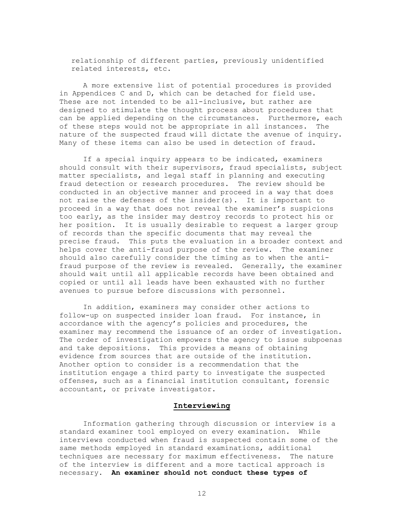relationship of different parties, previously unidentified related interests, etc.

A more extensive list of potential procedures is provided in Appendices C and D, which can be detached for field use. These are not intended to be all-inclusive, but rather are designed to stimulate the thought process about procedures that can be applied depending on the circumstances. Furthermore, each of these steps would not be appropriate in all instances. The nature of the suspected fraud will dictate the avenue of inquiry. Many of these items can also be used in detection of fraud.

If a special inquiry appears to be indicated, examiners should consult with their supervisors, fraud specialists, subject matter specialists, and legal staff in planning and executing fraud detection or research procedures. The review should be conducted in an objective manner and proceed in a way that does not raise the defenses of the insider(s). It is important to proceed in a way that does not reveal the examiner's suspicions too early, as the insider may destroy records to protect his or her position. It is usually desirable to request a larger group of records than the specific documents that may reveal the precise fraud. This puts the evaluation in a broader context and helps cover the anti-fraud purpose of the review. The examiner should also carefully consider the timing as to when the antifraud purpose of the review is revealed. Generally, the examiner should wait until all applicable records have been obtained and copied or until all leads have been exhausted with no further avenues to pursue before discussions with personnel.

In addition, examiners may consider other actions to follow-up on suspected insider loan fraud. For instance, in accordance with the agency's policies and procedures, the examiner may recommend the issuance of an order of investigation. The order of investigation empowers the agency to issue subpoenas and take depositions. This provides a means of obtaining evidence from sources that are outside of the institution. Another option to consider is a recommendation that the institution engage a third party to investigate the suspected offenses, such as a financial institution consultant, forensic accountant, or private investigator.

#### **Interviewing**

Information gathering through discussion or interview is a standard examiner tool employed on every examination. While interviews conducted when fraud is suspected contain some of the same methods employed in standard examinations, additional techniques are necessary for maximum effectiveness. The nature of the interview is different and a more tactical approach is necessary. **An examiner should not conduct these types of**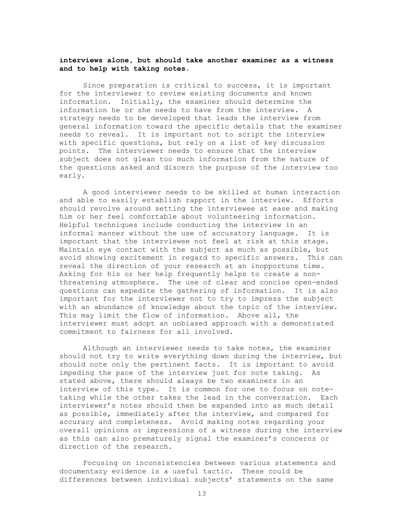#### **interviews alone, but should take another examiner as a witness and to help with taking notes.**

Since preparation is critical to success, it is important for the interviewer to review existing documents and known information. Initially, the examiner should determine the information he or she needs to have from the interview. A strategy needs to be developed that leads the interview from general information toward the specific details that the examiner needs to reveal. It is important not to script the interview with specific questions, but rely on a list of key discussion points. The interviewer needs to ensure that the interview subject does not glean too much information from the nature of the questions asked and discern the purpose of the interview too early.

A good interviewer needs to be skilled at human interaction and able to easily establish rapport in the interview. Efforts should revolve around setting the interviewee at ease and making him or her feel comfortable about volunteering information. Helpful techniques include conducting the interview in an informal manner without the use of accusatory language. It is important that the interviewee not feel at risk at this stage. Maintain eye contact with the subject as much as possible, but avoid showing excitement in regard to specific answers. This can reveal the direction of your research at an inopportune time. Asking for his or her help frequently helps to create a nonthreatening atmosphere. The use of clear and concise open-ended questions can expedite the gathering of information. It is also important for the interviewer not to try to impress the subject with an abundance of knowledge about the topic of the interview. This may limit the flow of information. Above all, the interviewer must adopt an unbiased approach with a demonstrated commitment to fairness for all involved.

Although an interviewer needs to take notes, the examiner should not try to write everything down during the interview, but should note only the pertinent facts. It is important to avoid impeding the pace of the interview just for note taking. As stated above, there should always be two examiners in an interview of this type. It is common for one to focus on notetaking while the other takes the lead in the conversation. Each interviewer's notes should then be expanded into as much detail as possible, immediately after the interview, and compared for accuracy and completeness. Avoid making notes regarding your overall opinions or impressions of a witness during the interview as this can also prematurely signal the examiner's concerns or direction of the research.

Focusing on inconsistencies between various statements and documentary evidence is a useful tactic. These could be differences between individual subjects' statements on the same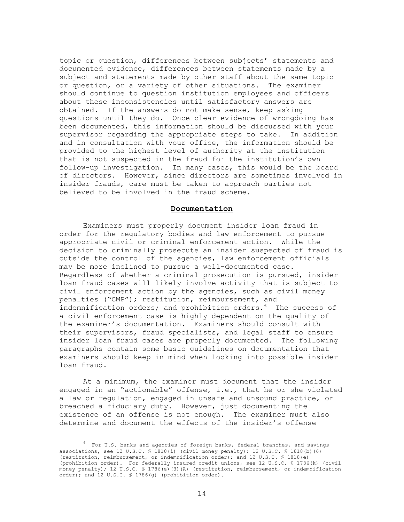topic or question, differences between subjects' statements and documented evidence, differences between statements made by a subject and statements made by other staff about the same topic or question, or a variety of other situations. The examiner should continue to question institution employees and officers about these inconsistencies until satisfactory answers are obtained. If the answers do not make sense, keep asking questions until they do. Once clear evidence of wrongdoing has been documented, this information should be discussed with your supervisor regarding the appropriate steps to take. In addition and in consultation with your office, the information should be provided to the highest level of authority at the institution that is not suspected in the fraud for the institution's own follow-up investigation. In many cases, this would be the board of directors. However, since directors are sometimes involved in insider frauds, care must be taken to approach parties not believed to be involved in the fraud scheme.

#### **Documentation**

Examiners must properly document insider loan fraud in order for the regulatory bodies and law enforcement to pursue appropriate civil or criminal enforcement action. While the decision to criminally prosecute an insider suspected of fraud is outside the control of the agencies, law enforcement officials may be more inclined to pursue a well-documented case. Regardless of whether a criminal prosecution is pursued, insider loan fraud cases will likely involve activity that is subject to civil enforcement action by the agencies, such as civil money penalties ("CMP"); restitution, reimbursement, and indemnification orders; and prohibition orders.<sup>6</sup> The success of a civil enforcement case is highly dependent on the quality of the examiner's documentation. Examiners should consult with their supervisors, fraud specialists, and legal staff to ensure insider loan fraud cases are properly documented. The following paragraphs contain some basic guidelines on documentation that examiners should keep in mind when looking into possible insider loan fraud.

At a minimum, the examiner must document that the insider engaged in an "actionable" offense, i.e., that he or she violated a law or regulation, engaged in unsafe and unsound practice, or breached a fiduciary duty. However, just documenting the existence of an offense is not enough. The examiner must also determine and document the effects of the insider's offense

 <sup>6</sup>  $6$  For U.S. banks and agencies of foreign banks, federal branches, and savings associations, see 12 U.S.C.  $\frac{1818}{i}$  (civil money penalty); 12 U.S.C.  $\frac{1818}{b}$  (6) (6) (restitution, reimbursement, or indemnification order); and 12 U.S.C. § 1818(e) (prohibition order). For federally insured credit unions, see 12 U.S.C. § 1786(k) (civil money penalty); 12 U.S.C. § 1786(e)(3)(A) (restitution, reimbursement, or indemnification order); and 12 U.S.C. § 1786(g) (prohibition order).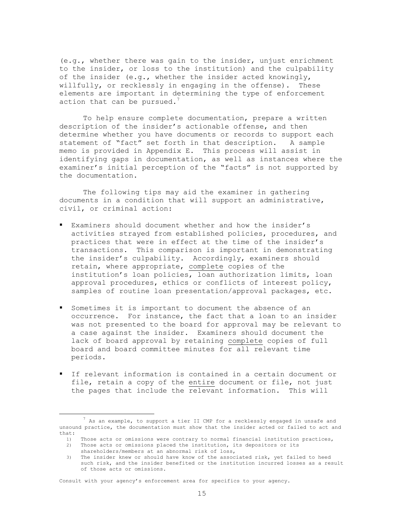(e.g., whether there was gain to the insider, unjust enrichment to the insider, or loss to the institution) and the culpability of the insider (e.g., whether the insider acted knowingly, willfully, or recklessly in engaging in the offense). These elements are important in determining the type of enforcement action that can be pursued. $^7$ 

To help ensure complete documentation, prepare a written description of the insider's actionable offense, and then determine whether you have documents or records to support each statement of "fact" set forth in that description. A sample memo is provided in Appendix E. This process will assist in identifying gaps in documentation, as well as instances where the examiner's initial perception of the "facts" is not supported by the documentation.

The following tips may aid the examiner in gathering documents in a condition that will support an administrative, civil, or criminal action:

- Examiners should document whether and how the insider's activities strayed from established policies, procedures, and practices that were in effect at the time of the insider's transactions. This comparison is important in demonstrating the insider's culpability. Accordingly, examiners should retain, where appropriate, complete copies of the institution's loan policies, loan authorization limits, loan approval procedures, ethics or conflicts of interest policy, samples of routine loan presentation/approval packages, etc.
- Sometimes it is important to document the absence of an occurrence. For instance, the fact that a loan to an insider was not presented to the board for approval may be relevant to a case against the insider. Examiners should document the lack of board approval by retaining complete copies of full board and board committee minutes for all relevant time periods.
- If relevant information is contained in a certain document or file, retain a copy of the entire document or file, not just the pages that include the relevant information. This will

Consult with your agency's enforcement area for specifics to your agency.

 $<sup>7</sup>$  As an example, to support a tier II CMP for a recklessly engaged in unsafe and</sup> unsound practice, the documentation must show that the insider acted or failed to act and that:

<sup>1)</sup> Those acts or omissions were contrary to normal financial institution practices,

<sup>2)</sup> Those acts or omissions placed the institution, its depositors or its shareholders/members at an abnormal risk of loss,

<sup>3)</sup> The insider knew or should have know of the associated risk, yet failed to heed such risk, and the insider benefited or the institution incurred losses as a result of those acts or omissions.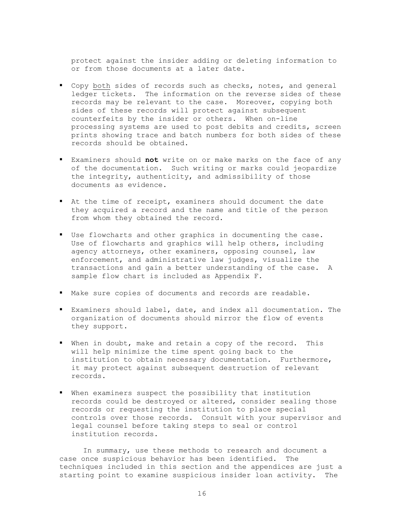protect against the insider adding or deleting information to or from those documents at a later date.

- Copy both sides of records such as checks, notes, and general ledger tickets. The information on the reverse sides of these records may be relevant to the case. Moreover, copying both sides of these records will protect against subsequent counterfeits by the insider or others. When on-line processing systems are used to post debits and credits, screen prints showing trace and batch numbers for both sides of these records should be obtained.
- Examiners should **not** write on or make marks on the face of any of the documentation. Such writing or marks could jeopardize the integrity, authenticity, and admissibility of those documents as evidence.
- At the time of receipt, examiners should document the date they acquired a record and the name and title of the person from whom they obtained the record.
- Use flowcharts and other graphics in documenting the case. Use of flowcharts and graphics will help others, including agency attorneys, other examiners, opposing counsel, law enforcement, and administrative law judges, visualize the transactions and gain a better understanding of the case. A sample flow chart is included as Appendix F.
- Make sure copies of documents and records are readable.
- Examiners should label, date, and index all documentation. The organization of documents should mirror the flow of events they support.
- When in doubt, make and retain a copy of the record. This will help minimize the time spent going back to the institution to obtain necessary documentation. Furthermore, it may protect against subsequent destruction of relevant records.
- When examiners suspect the possibility that institution records could be destroyed or altered, consider sealing those records or requesting the institution to place special controls over those records. Consult with your supervisor and legal counsel before taking steps to seal or control institution records.

 In summary, use these methods to research and document a case once suspicious behavior has been identified. The techniques included in this section and the appendices are just a starting point to examine suspicious insider loan activity. The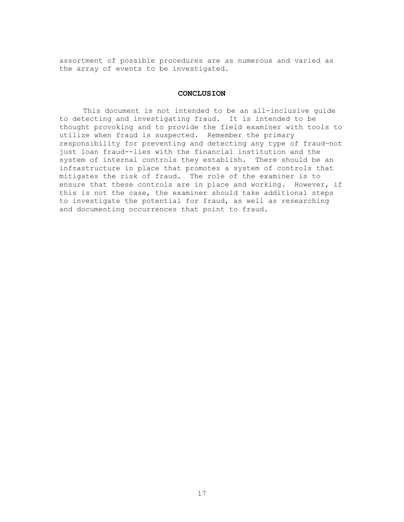assortment of possible procedures are as numerous and varied as the array of events to be investigated.

#### **CONCLUSION**

 This document is not intended to be an all-inclusive guide to detecting and investigating fraud. It is intended to be thought provoking and to provide the field examiner with tools to utilize when fraud is suspected. Remember the primary responsibility for preventing and detecting any type of fraud—not just loan fraud--lies with the financial institution and the system of internal controls they establish. There should be an infrastructure in place that promotes a system of controls that mitigates the risk of fraud. The role of the examiner is to ensure that these controls are in place and working. However, if this is not the case, the examiner should take additional steps to investigate the potential for fraud, as well as researching and documenting occurrences that point to fraud.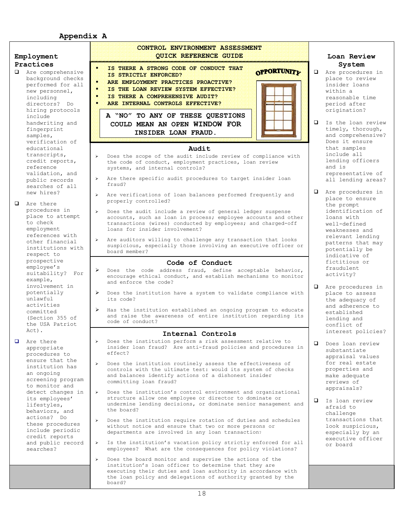# **Appendix A**

| Employment                                                                                                                                                                                                                                                                                                              | <b>CONTROL ENVIRONMENT ASSESSMENT</b><br><b>OUICK REFERENCE GUIDE</b>                                                                                                                                                                                                                                                                                                                                                                                                                                                                                                                                                                                                                                                                                                                                                                                                                                                                                                                                                                                                                                                                                                          | Loan Review                                                                                                                                                                                                                                                                                      |
|-------------------------------------------------------------------------------------------------------------------------------------------------------------------------------------------------------------------------------------------------------------------------------------------------------------------------|--------------------------------------------------------------------------------------------------------------------------------------------------------------------------------------------------------------------------------------------------------------------------------------------------------------------------------------------------------------------------------------------------------------------------------------------------------------------------------------------------------------------------------------------------------------------------------------------------------------------------------------------------------------------------------------------------------------------------------------------------------------------------------------------------------------------------------------------------------------------------------------------------------------------------------------------------------------------------------------------------------------------------------------------------------------------------------------------------------------------------------------------------------------------------------|--------------------------------------------------------------------------------------------------------------------------------------------------------------------------------------------------------------------------------------------------------------------------------------------------|
| Practices                                                                                                                                                                                                                                                                                                               |                                                                                                                                                                                                                                                                                                                                                                                                                                                                                                                                                                                                                                                                                                                                                                                                                                                                                                                                                                                                                                                                                                                                                                                | System                                                                                                                                                                                                                                                                                           |
| <b>Q</b> Are comprehensive<br>background checks<br>performed for all<br>new personnel,<br>including<br>directors? Do<br>hiring protocols<br>include                                                                                                                                                                     | IS THERE A STRONG CODE OF CONDUCT THAT<br>$\blacksquare$<br><b>OPPORTUNITY</b><br>IS STRICTLY ENFORCED?<br>$\blacksquare$<br>ARE EMPLOYMENT PRACTICES PROACTIVE?<br>п<br>IS THE LOAN REVIEW SYSTEM EFFECTIVE?<br>п<br>IS THERE A COMPREHENSIVE AUDIT?<br>٠<br>ARE INTERNAL CONTROLS EFFECTIVE?<br>A "NO" TO ANY OF THESE QUESTIONS                                                                                                                                                                                                                                                                                                                                                                                                                                                                                                                                                                                                                                                                                                                                                                                                                                             | $\Box$<br>Are procedures in<br>place to review<br>insider loans<br>within a<br>reasonable time<br>period after<br>origination?                                                                                                                                                                   |
| handwriting and<br>fingerprint<br>samples,<br>verification of<br>educational<br>transcripts,<br>credit reports,<br>reference<br>validation, and                                                                                                                                                                         | COULD MEAN AN OPEN WINDOW FOR<br>INSIDER LOAN FRAUD.<br>Audit<br>Does the scope of the audit include review of compliance with<br>$\blacktriangleright$<br>the code of conduct, employment practices, loan review<br>systems, and internal controls?                                                                                                                                                                                                                                                                                                                                                                                                                                                                                                                                                                                                                                                                                                                                                                                                                                                                                                                           | $\Box$<br>Is the loan review<br>timely, thorough,<br>and comprehensive?<br>Does it ensure<br>that samples<br>include all<br>lending officers<br>and is<br>representative of                                                                                                                      |
| public records<br>searches of all                                                                                                                                                                                                                                                                                       | > Are there specific audit procedures to target insider loan<br>fraud?                                                                                                                                                                                                                                                                                                                                                                                                                                                                                                                                                                                                                                                                                                                                                                                                                                                                                                                                                                                                                                                                                                         | all lending areas?                                                                                                                                                                                                                                                                               |
| new hires?<br><b>Q</b> Are there<br>procedures in<br>place to attempt<br>to check<br>employment<br>references with                                                                                                                                                                                                      | Are verifications of loan balances performed frequently and<br>$\blacktriangleright$<br>properly controlled?<br>Does the audit include a review of general ledger suspense<br>$\blacktriangleright$<br>accounts, such as loan in process; employee accounts and other<br>transactions (wires) conducted by employees; and charged-off<br>loans for insider involvement?                                                                                                                                                                                                                                                                                                                                                                                                                                                                                                                                                                                                                                                                                                                                                                                                        | $\Box$ Are procedures in<br>place to ensure<br>the prompt<br>identification of<br>loans with<br>well-defined<br>weaknesses and                                                                                                                                                                   |
| other financial<br>institutions with<br>respect to<br>prospective<br>employee's<br>suitability? For                                                                                                                                                                                                                     | > Are auditors willing to challenge any transaction that looks<br>suspicious, especially those involving an executive officer or<br>board member?<br>Code of Conduct<br>Does the code address fraud, define acceptable behavior,<br>$\triangleright$<br>encourage ethical conduct, and establish mechanisms to monitor                                                                                                                                                                                                                                                                                                                                                                                                                                                                                                                                                                                                                                                                                                                                                                                                                                                         | relevant lending<br>patterns that may<br>potentially be<br>indicative of<br>fictitious or<br>fraudulent<br>activity?                                                                                                                                                                             |
| example,<br>involvement in<br>potentially<br>unlawful<br>activities<br>committed<br>(Section 355 of<br>the USA Patriot                                                                                                                                                                                                  | and enforce the code?<br>> Does the institution have a system to validate compliance with<br>its code?<br>> Has the institution established an ongoing program to educate<br>and raise the awareness of entire institution regarding its<br>code of conduct?                                                                                                                                                                                                                                                                                                                                                                                                                                                                                                                                                                                                                                                                                                                                                                                                                                                                                                                   | $\Box$<br>Are procedures in<br>place to assess<br>the adequacy of<br>and adherence to<br>established<br>lending and<br>conflict of                                                                                                                                                               |
| $Act)$ .                                                                                                                                                                                                                                                                                                                | Internal Controls                                                                                                                                                                                                                                                                                                                                                                                                                                                                                                                                                                                                                                                                                                                                                                                                                                                                                                                                                                                                                                                                                                                                                              | interest policies?                                                                                                                                                                                                                                                                               |
| Are there<br>appropriate<br>procedures to<br>ensure that the<br>institution has<br>an ongoing<br>screening program<br>to monitor and<br>detect changes in<br>its employees'<br>lifestyles,<br>behaviors, and<br>actions? Do<br>these procedures<br>include periodic<br>credit reports<br>and public record<br>searches? | Does the institution perform a risk assessment relative to<br>insider loan fraud? Are anti-fraud policies and procedures in<br>effect?<br>$\blacktriangleright$<br>Does the institution routinely assess the effectiveness of<br>controls with the ultimate test: would its system of checks<br>and balances identify actions of a dishonest insider<br>committing loan fraud?<br>Does the institution's control environment and organizational<br>$\blacktriangleright$<br>structure allow one employee or director to dominate or<br>undermine lending decisions, or dominate senior management and<br>the board?<br>Does the institution require rotation of duties and schedules<br>$\blacktriangleright$<br>without notice and ensure that two or more persons or<br>departments are involved in any loan transaction?<br>Is the institution's vacation policy strictly enforced for all<br>➤<br>employees? What are the consequences for policy violations?<br>$\blacktriangleright$<br>Does the board monitor and supervise the actions of the<br>institution's loan officer to determine that they are<br>executing their duties and loan authority in accordance with | Does loan review<br>□<br>substantiate<br>appraisal values<br>for real estate<br>properties and<br>make adequate<br>reviews of<br>appraisals?<br>$\Box$<br>Is loan review<br>afraid to<br>challenge<br>transactions that<br>look suspicious,<br>especially by an<br>executive officer<br>or board |
|                                                                                                                                                                                                                                                                                                                         | the loan policy and delegations of authority granted by the<br>board?                                                                                                                                                                                                                                                                                                                                                                                                                                                                                                                                                                                                                                                                                                                                                                                                                                                                                                                                                                                                                                                                                                          |                                                                                                                                                                                                                                                                                                  |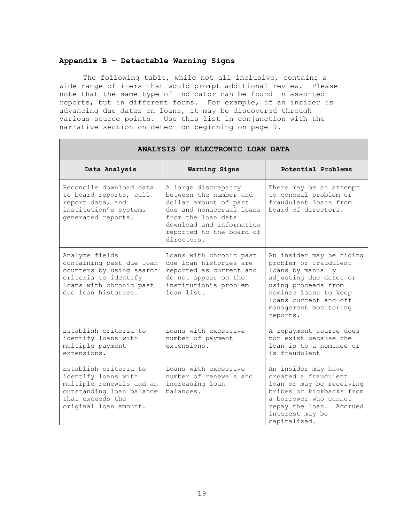#### **Appendix B – Detectable Warning Signs**

The following table, while not all inclusive, contains a wide range of items that would prompt additional review. Please note that the same type of indicator can be found in assorted reports, but in different forms. For example, if an insider is advancing due dates on loans, it may be discovered through various source points. Use this list in conjunction with the narrative section on detection beginning on page 9.

| ANALYSIS OF ELECTRONIC LOAN DATA                                                                                                                  |                                                                                                                                                                                                |                                                                                                                                                                                                                |
|---------------------------------------------------------------------------------------------------------------------------------------------------|------------------------------------------------------------------------------------------------------------------------------------------------------------------------------------------------|----------------------------------------------------------------------------------------------------------------------------------------------------------------------------------------------------------------|
| Data Analysis                                                                                                                                     | Warning Signs                                                                                                                                                                                  | Potential Problems                                                                                                                                                                                             |
| Reconcile download data<br>to board reports, call<br>report data, and<br>institution's systems<br>generated reports.                              | A large discrepancy<br>between the number and<br>dollar amount of past<br>due and nonaccrual loans<br>from the loan data<br>download and information<br>reported to the board of<br>directors. | There may be an attempt<br>to conceal problem or<br>fraudulent loans from<br>board of directors.                                                                                                               |
| Analyze fields<br>containing past due loan<br>counters by using search<br>criteria to identify<br>loans with chronic past<br>due loan histories.  | Loans with chronic past<br>due loan histories are<br>reported as current and<br>do not appear on the<br>institution's problem<br>loan list.                                                    | An insider may be hiding<br>problem or fraudulent<br>loans by manually<br>adjusting due dates or<br>using proceeds from<br>nominee loans to keep<br>loans current and off<br>management monitoring<br>reports. |
| Establish criteria to<br>identify loans with<br>multiple payment<br>extensions.                                                                   | Loans with excessive<br>number of payment<br>extensions.                                                                                                                                       | A repayment source does<br>not exist because the<br>loan is to a nominee or<br>is fraudulent                                                                                                                   |
| Establish criteria to<br>identify loans with<br>multiple renewals and an<br>outstanding loan balance<br>that exceeds the<br>original loan amount. | Loans with excessive<br>number of renewals and<br>increasing loan<br>balances.                                                                                                                 | An insider may have<br>created a fraudulent<br>loan or may be receiving<br>bribes or kickbacks from<br>a borrower who cannot<br>repay the loan. Accrued<br>interest may be<br>capitalized.                     |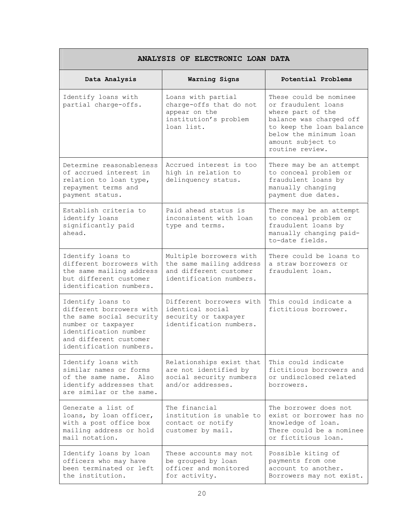| ANALYSIS OF ELECTRONIC LOAN DATA                                                                                                                                             |                                                                                                          |                                                                                                                                                                                             |
|------------------------------------------------------------------------------------------------------------------------------------------------------------------------------|----------------------------------------------------------------------------------------------------------|---------------------------------------------------------------------------------------------------------------------------------------------------------------------------------------------|
| Data Analysis                                                                                                                                                                | Warning Signs                                                                                            | Potential Problems                                                                                                                                                                          |
| Identify loans with<br>partial charge-offs.                                                                                                                                  | Loans with partial<br>charge-offs that do not<br>appear on the<br>institution's problem<br>loan list.    | These could be nominee<br>or fraudulent loans<br>where part of the<br>balance was charged off<br>to keep the loan balance<br>below the minimum loan<br>amount subject to<br>routine review. |
| Determine reasonableness<br>of accrued interest in<br>relation to loan type,<br>repayment terms and<br>payment status.                                                       | Accrued interest is too<br>high in relation to<br>delinquency status.                                    | There may be an attempt<br>to conceal problem or<br>fraudulent loans by<br>manually changing<br>payment due dates.                                                                          |
| Establish criteria to<br>identify loans<br>significantly paid<br>ahead.                                                                                                      | Paid ahead status is<br>inconsistent with loan<br>type and terms.                                        | There may be an attempt<br>to conceal problem or<br>fraudulent loans by<br>manually changing paid-<br>to-date fields.                                                                       |
| Identify loans to<br>different borrowers with<br>the same mailing address<br>but different customer<br>identification numbers.                                               | Multiple borrowers with<br>the same mailing address<br>and different customer<br>identification numbers. | There could be loans to<br>a straw borrowers or<br>fraudulent loan.                                                                                                                         |
| Identify loans to<br>different borrowers with<br>the same social security<br>number or taxpayer<br>identification number<br>and different customer<br>identification numbers | Different borrowers with<br>identical social<br>security or taxpayer<br>identification numbers.          | This could indicate a<br>fictitious borrower.                                                                                                                                               |
| Identify loans with<br>similar names or forms<br>of the same name. Also<br>identify addresses that<br>are similar or the same.                                               | Relationships exist that<br>are not identified by<br>social security numbers<br>and/or addresses.        | This could indicate<br>fictitious borrowers and<br>or undisclosed related<br>borrowers.                                                                                                     |
| Generate a list of<br>loans, by loan officer,<br>with a post office box<br>mailing address or hold<br>mail notation.                                                         | The financial<br>institution is unable to<br>contact or notify<br>customer by mail.                      | The borrower does not<br>exist or borrower has no<br>knowledge of loan.<br>There could be a nominee<br>or fictitious loan.                                                                  |
| Identify loans by loan<br>officers who may have<br>been terminated or left<br>the institution.                                                                               | These accounts may not<br>be grouped by loan<br>officer and monitored<br>for activity.                   | Possible kiting of<br>payments from one<br>account to another.<br>Borrowers may not exist.                                                                                                  |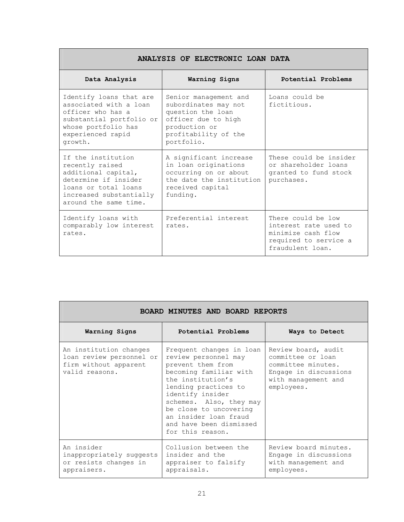| ANALYSIS OF ELECTRONIC LOAN DATA                                                                                                                                 |                                                                                                                                                  |                                                                                                                |
|------------------------------------------------------------------------------------------------------------------------------------------------------------------|--------------------------------------------------------------------------------------------------------------------------------------------------|----------------------------------------------------------------------------------------------------------------|
| Data Analysis                                                                                                                                                    | Warning Signs                                                                                                                                    | Potential Problems                                                                                             |
| Identify loans that are<br>associated with a loan<br>officer who has a<br>substantial portfolio or<br>whose portfolio has<br>experienced rapid<br>growth.        | Senior management and<br>subordinates may not<br>question the loan<br>officer due to high<br>production or<br>profitability of the<br>portfolio. | Loans could be<br>fictitious.                                                                                  |
| If the institution<br>recently raised<br>additional capital,<br>determine if insider<br>loans or total loans<br>increased substantially<br>around the same time. | A significant increase<br>in loan originations<br>occurring on or about<br>the date the institution<br>received capital<br>funding.              | These could be insider<br>or shareholder loans<br>granted to fund stock<br>purchases.                          |
| Identify loans with<br>comparably low interest<br>rates.                                                                                                         | Preferential interest<br>rates.                                                                                                                  | There could be low<br>interest rate used to<br>minimize cash flow<br>required to service a<br>fraudulent loan. |

| BOARD MINUTES AND BOARD REPORTS                                                               |                                                                                                                                                                                                                                                                                               |                                                                                                                              |
|-----------------------------------------------------------------------------------------------|-----------------------------------------------------------------------------------------------------------------------------------------------------------------------------------------------------------------------------------------------------------------------------------------------|------------------------------------------------------------------------------------------------------------------------------|
| Warning Signs                                                                                 | Potential Problems                                                                                                                                                                                                                                                                            | Ways to Detect                                                                                                               |
| An institution changes<br>loan review personnel or<br>firm without apparent<br>valid reasons. | Frequent changes in loan<br>review personnel may<br>prevent them from<br>becoming familiar with<br>the institution's<br>lending practices to<br>identify insider<br>schemes. Also, they may<br>be close to uncovering<br>an insider loan fraud<br>and have been dismissed<br>for this reason. | Review board, audit<br>committee or loan<br>committee minutes.<br>Engage in discussions<br>with management and<br>employees. |
| An insider<br>inappropriately suggests<br>or resists changes in<br>appraisers.                | Collusion between the<br>insider and the<br>appraiser to falsify<br>appraisals.                                                                                                                                                                                                               | Review board minutes.<br>Engage in discussions<br>with management and<br>employees.                                          |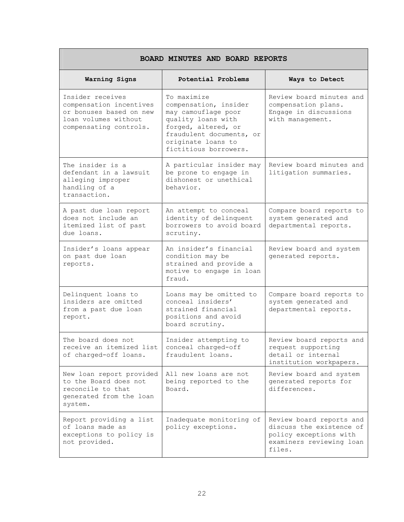| BOARD MINUTES AND BOARD REPORTS                                                                                          |                                                                                                                                                                                     |                                                                                                                      |
|--------------------------------------------------------------------------------------------------------------------------|-------------------------------------------------------------------------------------------------------------------------------------------------------------------------------------|----------------------------------------------------------------------------------------------------------------------|
| Warning Signs                                                                                                            | Potential Problems                                                                                                                                                                  | Ways to Detect                                                                                                       |
| Insider receives<br>compensation incentives<br>or bonuses based on new<br>loan volumes without<br>compensating controls. | To maximize<br>compensation, insider<br>may camouflage poor<br>quality loans with<br>forged, altered, or<br>fraudulent documents, or<br>originate loans to<br>fictitious borrowers. | Review board minutes and<br>compensation plans.<br>Engage in discussions<br>with management.                         |
| The insider is a<br>defendant in a lawsuit<br>alleging improper<br>handling of a<br>transaction.                         | A particular insider may<br>be prone to engage in<br>dishonest or unethical<br>behavior.                                                                                            | Review board minutes and<br>litigation summaries.                                                                    |
| A past due loan report<br>does not include an<br>itemized list of past<br>due loans.                                     | An attempt to conceal<br>identity of delinquent<br>borrowers to avoid board<br>scrutiny.                                                                                            | Compare board reports to<br>system generated and<br>departmental reports.                                            |
| Insider's loans appear<br>on past due loan<br>reports.                                                                   | An insider's financial<br>condition may be<br>strained and provide a<br>motive to engage in loan<br>fraud.                                                                          | Review board and system<br>generated reports.                                                                        |
| Delinquent loans to<br>insiders are omitted<br>from a past due loan<br>report.                                           | Loans may be omitted to<br>conceal insiders'<br>strained financial<br>positions and avoid<br>board scrutiny.                                                                        | Compare board reports to<br>system generated and<br>departmental reports.                                            |
| The board does not<br>receive an itemized list   conceal charged-off<br>of charged-off loans.                            | Insider attempting to<br>fraudulent loans.                                                                                                                                          | Review board reports and<br>request supporting<br>detail or internal<br>institution workpapers.                      |
| New loan report provided<br>to the Board does not<br>reconcile to that<br>generated from the loan<br>system.             | All new loans are not<br>being reported to the<br>Board.                                                                                                                            | Review board and system<br>generated reports for<br>differences.                                                     |
| Report providing a list<br>of loans made as<br>exceptions to policy is<br>not provided.                                  | Inadequate monitoring of<br>policy exceptions.                                                                                                                                      | Review board reports and<br>discuss the existence of<br>policy exceptions with<br>examiners reviewing loan<br>files. |

٦

Г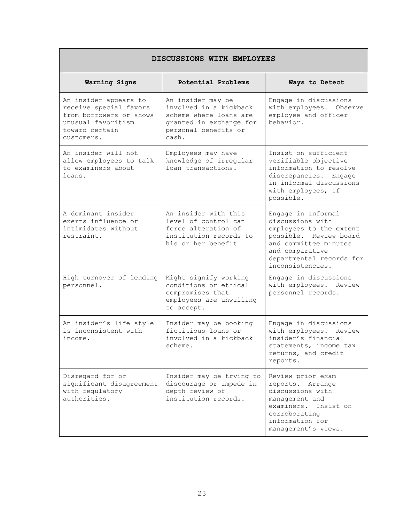| DISCUSSIONS WITH EMPLOYEES                                                                                                       |                                                                                                                                   |                                                                                                                                                                                         |
|----------------------------------------------------------------------------------------------------------------------------------|-----------------------------------------------------------------------------------------------------------------------------------|-----------------------------------------------------------------------------------------------------------------------------------------------------------------------------------------|
| Warning Signs                                                                                                                    | Potential Problems                                                                                                                | Ways to Detect                                                                                                                                                                          |
| An insider appears to<br>receive special favors<br>from borrowers or shows<br>unusual favoritism<br>toward certain<br>customers. | An insider may be<br>involved in a kickback<br>scheme where loans are<br>granted in exchange for<br>personal benefits or<br>cash. | Engage in discussions<br>with employees. Observe<br>employee and officer<br>behavior.                                                                                                   |
| An insider will not<br>allow employees to talk<br>to examiners about<br>loans.                                                   | Employees may have<br>knowledge of irregular<br>loan transactions.                                                                | Insist on sufficient<br>verifiable objective<br>information to resolve<br>discrepancies. Engage<br>in informal discussions<br>with employees, if<br>possible.                           |
| A dominant insider<br>exerts influence or<br>intimidates without<br>restraint.                                                   | An insider with this<br>level of control can<br>force alteration of<br>institution records to<br>his or her benefit               | Engage in informal<br>discussions with<br>employees to the extent<br>possible. Review board<br>and committee minutes<br>and comparative<br>departmental records for<br>inconsistencies. |
| High turnover of lending<br>personnel.                                                                                           | Might signify working<br>conditions or ethical<br>compromises that<br>employees are unwilling<br>to accept.                       | Engage in discussions<br>with employees. Review<br>personnel records.                                                                                                                   |
| An insider's life style<br>is inconsistent with<br>income.                                                                       | Insider may be booking<br>fictitious loans or<br>involved in a kickback<br>scheme.                                                | Engage in discussions<br>with employees. Review<br>insider's financial<br>statements, income tax<br>returns, and credit<br>reports.                                                     |
| Disregard for or<br>significant disagreement<br>with regulatory<br>authorities.                                                  | Insider may be trying to<br>discourage or impede in<br>depth review of<br>institution records.                                    | Review prior exam<br>reports. Arrange<br>discussions with<br>management and<br>examiners. Insist on<br>corroborating<br>information for<br>management's views.                          |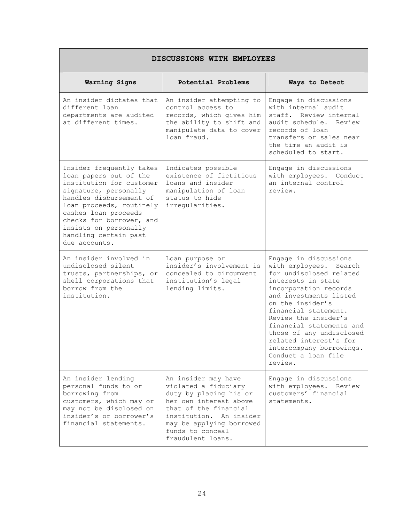| DISCUSSIONS WITH EMPLOYEES                                                                                                                                                                                                                                                            |                                                                                                                                                                                                                          |                                                                                                                                                                                                                                                                                                                                                                            |
|---------------------------------------------------------------------------------------------------------------------------------------------------------------------------------------------------------------------------------------------------------------------------------------|--------------------------------------------------------------------------------------------------------------------------------------------------------------------------------------------------------------------------|----------------------------------------------------------------------------------------------------------------------------------------------------------------------------------------------------------------------------------------------------------------------------------------------------------------------------------------------------------------------------|
| Warning Signs                                                                                                                                                                                                                                                                         | Potential Problems                                                                                                                                                                                                       | Ways to Detect                                                                                                                                                                                                                                                                                                                                                             |
| An insider dictates that<br>different loan<br>departments are audited<br>at different times.                                                                                                                                                                                          | An insider attempting to<br>control access to<br>records, which gives him<br>the ability to shift and<br>manipulate data to cover<br>loan fraud.                                                                         | Engage in discussions<br>with internal audit<br>staff. Review internal<br>audit schedule. Review<br>records of loan<br>transfers or sales near<br>the time an audit is<br>scheduled to start.                                                                                                                                                                              |
| Insider frequently takes<br>loan papers out of the<br>institution for customer<br>signature, personally<br>handles disbursement of<br>loan proceeds, routinely<br>cashes loan proceeds<br>checks for borrower, and<br>insists on personally<br>handling certain past<br>due accounts. | Indicates possible<br>existence of fictitious<br>loans and insider<br>manipulation of loan<br>status to hide<br>irregularities.                                                                                          | Engage in discussions<br>with employees. Conduct<br>an internal control<br>review.                                                                                                                                                                                                                                                                                         |
| An insider involved in<br>undisclosed silent<br>trusts, partnerships, or<br>shell corporations that<br>borrow from the<br>institution.                                                                                                                                                | Loan purpose or<br>insider's involvement is<br>concealed to circumvent<br>institution's legal<br>lending limits.                                                                                                         | Engage in discussions<br>with employees.<br>Search<br>for undisclosed related<br>interests in state<br>incorporation records<br>and investments listed<br>on the insider's<br>financial statement.<br>Review the insider's<br>financial statements and<br>those of any undisclosed<br>related interest's for<br>intercompany borrowings.<br>Conduct a loan file<br>review. |
| An insider lending<br>personal funds to or<br>borrowing from<br>customers, which may or<br>may not be disclosed on<br>insider's or borrower's<br>financial statements.                                                                                                                | An insider may have<br>violated a fiduciary<br>duty by placing his or<br>her own interest above<br>that of the financial<br>institution. An insider<br>may be applying borrowed<br>funds to conceal<br>fraudulent loans. | Engage in discussions<br>with employees. Review<br>customers' financial<br>statements.                                                                                                                                                                                                                                                                                     |

٦

Г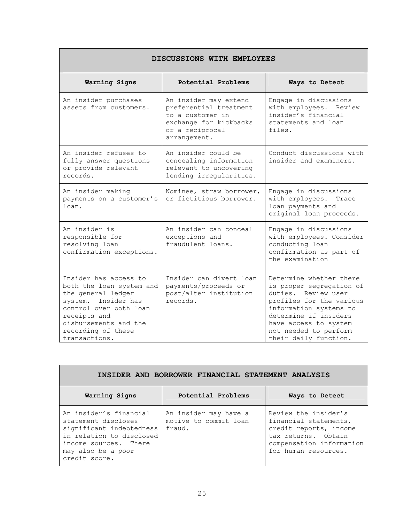| DISCUSSIONS WITH EMPLOYEES                                                                                                                                                                               |                                                                                                                                  |                                                                                                                                                                                                                                      |
|----------------------------------------------------------------------------------------------------------------------------------------------------------------------------------------------------------|----------------------------------------------------------------------------------------------------------------------------------|--------------------------------------------------------------------------------------------------------------------------------------------------------------------------------------------------------------------------------------|
| Warning Signs                                                                                                                                                                                            | Potential Problems                                                                                                               | Ways to Detect                                                                                                                                                                                                                       |
| An insider purchases<br>assets from customers.                                                                                                                                                           | An insider may extend<br>preferential treatment<br>to a customer in<br>exchange for kickbacks<br>or a reciprocal<br>arrangement. | Engage in discussions<br>with employees. Review<br>insider's financial<br>statements and loan<br>files.                                                                                                                              |
| An insider refuses to<br>fully answer questions<br>or provide relevant<br>records.                                                                                                                       | An insider could be<br>concealing information<br>relevant to uncovering<br>lending irregularities.                               | Conduct discussions with<br>insider and examiners.                                                                                                                                                                                   |
| An insider making<br>payments on a customer's<br>loan.                                                                                                                                                   | Nominee, straw borrower,<br>or fictitious borrower.                                                                              | Engage in discussions<br>with employees.<br>Trace<br>loan payments and<br>original loan proceeds.                                                                                                                                    |
| An insider is<br>responsible for<br>resolving loan<br>confirmation exceptions.                                                                                                                           | An insider can conceal<br>exceptions and<br>fraudulent loans.                                                                    | Engage in discussions<br>with employees. Consider<br>conducting loan<br>confirmation as part of<br>the examination                                                                                                                   |
| Insider has access to<br>both the loan system and<br>the general ledger<br>system. Insider has<br>control over both loan<br>receipts and<br>disbursements and the<br>recording of these<br>transactions. | Insider can divert loan<br>payments/proceeds or<br>post/alter institution<br>records.                                            | Determine whether there<br>is proper segregation of<br>duties. Review user<br>profiles for the various<br>information systems to<br>determine if insiders<br>have access to system<br>not needed to perform<br>their daily function. |

 $\overline{\phantom{0}}$ 

| INSIDER AND BORROWER FINANCIAL STATEMENT ANALYSIS                                                                                                                     |                                                          |                                                                                                                                                    |
|-----------------------------------------------------------------------------------------------------------------------------------------------------------------------|----------------------------------------------------------|----------------------------------------------------------------------------------------------------------------------------------------------------|
| Warning Signs                                                                                                                                                         | Potential Problems                                       | Ways to Detect                                                                                                                                     |
| An insider's financial<br>statement discloses<br>significant indebtedness<br>in relation to disclosed<br>income sources. There<br>may also be a poor<br>credit score. | An insider may have a<br>motive to commit loan<br>fraud. | Review the insider's<br>financial statements,<br>credit reports, income<br>tax returns. Obtain<br>compensation information<br>for human resources. |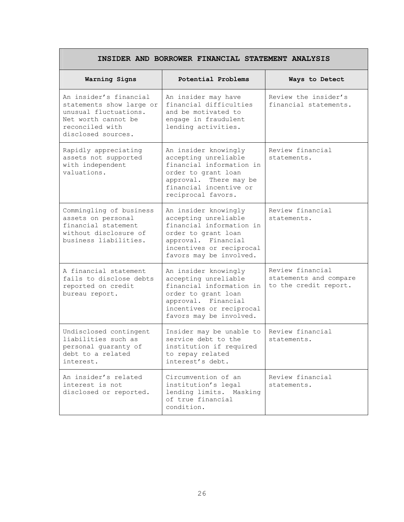| INSIDER AND BORROWER FINANCIAL STATEMENT ANALYSIS                                                                                           |                                                                                                                                                                               |                                                                     |
|---------------------------------------------------------------------------------------------------------------------------------------------|-------------------------------------------------------------------------------------------------------------------------------------------------------------------------------|---------------------------------------------------------------------|
| Warning Signs                                                                                                                               | Potential Problems                                                                                                                                                            | Ways to Detect                                                      |
| An insider's financial<br>statements show large or<br>unusual fluctuations.<br>Net worth cannot be<br>reconciled with<br>disclosed sources. | An insider may have<br>financial difficulties<br>and be motivated to<br>engage in fraudulent<br>lending activities.                                                           | Review the insider's<br>financial statements.                       |
| Rapidly appreciating<br>assets not supported<br>with independent<br>valuations.                                                             | An insider knowingly<br>accepting unreliable<br>financial information in<br>order to grant loan<br>approval. There may be<br>financial incentive or<br>reciprocal favors.     | Review financial<br>statements.                                     |
| Commingling of business<br>assets on personal<br>financial statement<br>without disclosure of<br>business liabilities.                      | An insider knowingly<br>accepting unreliable<br>financial information in<br>order to grant loan<br>approval. Financial<br>incentives or reciprocal<br>favors may be involved. | Review financial<br>statements.                                     |
| A financial statement<br>fails to disclose debts<br>reported on credit<br>bureau report.                                                    | An insider knowingly<br>accepting unreliable<br>financial information in<br>order to grant loan<br>approval. Financial<br>incentives or reciprocal<br>favors may be involved. | Review financial<br>statements and compare<br>to the credit report. |
| Undisclosed contingent<br>liabilities such as<br>personal guaranty of<br>debt to a related<br>interest.                                     | Insider may be unable to<br>service debt to the<br>institution if required<br>to repay related<br>interest's debt.                                                            | Review financial<br>statements.                                     |
| An insider's related<br>interest is not<br>disclosed or reported.                                                                           | Circumvention of an<br>institution's legal<br>lending limits. Masking<br>of true financial<br>condition.                                                                      | Review financial<br>statements.                                     |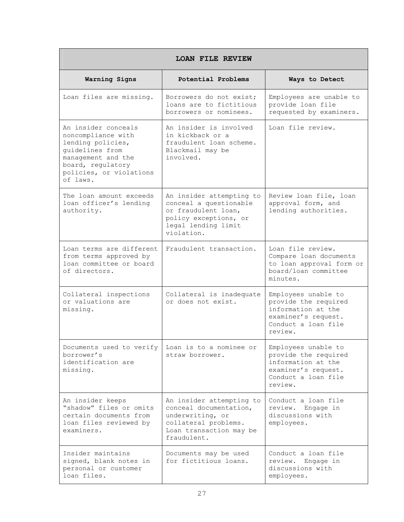| <b>LOAN FILE REVIEW</b>                                                                                                                                             |                                                                                                                                          |                                                                                                                            |
|---------------------------------------------------------------------------------------------------------------------------------------------------------------------|------------------------------------------------------------------------------------------------------------------------------------------|----------------------------------------------------------------------------------------------------------------------------|
| Warning Signs                                                                                                                                                       | Potential Problems                                                                                                                       | Ways to Detect                                                                                                             |
| Loan files are missing.                                                                                                                                             | Borrowers do not exist;<br>loans are to fictitious<br>borrowers or nominees.                                                             | Employees are unable to<br>provide loan file<br>requested by examiners.                                                    |
| An insider conceals<br>noncompliance with<br>lending policies,<br>guidelines from<br>management and the<br>board, regulatory<br>policies, or violations<br>of laws. | An insider is involved<br>in kickback or a<br>fraudulent loan scheme.<br>Blackmail may be<br>involved.                                   | Loan file review.                                                                                                          |
| The loan amount exceeds<br>loan officer's lending<br>authority.                                                                                                     | An insider attempting to<br>conceal a questionable<br>or fraudulent loan,<br>policy exceptions, or<br>legal lending limit<br>violation.  | Review loan file, loan<br>approval form, and<br>lending authorities.                                                       |
| Loan terms are different<br>from terms approved by<br>loan committee or board<br>of directors.                                                                      | Fraudulent transaction.                                                                                                                  | Loan file review.<br>Compare loan documents<br>to loan approval form or<br>board/loan committee<br>minutes.                |
| Collateral inspections<br>or valuations are<br>missing.                                                                                                             | Collateral is inadequate<br>or does not exist.                                                                                           | Employees unable to<br>provide the required<br>information at the<br>examiner's request.<br>Conduct a loan file<br>review. |
| Documents used to verify<br>borrower's<br>identification are<br>missing.                                                                                            | Loan is to a nominee or<br>straw borrower.                                                                                               | Employees unable to<br>provide the required<br>information at the<br>examiner's request.<br>Conduct a loan file<br>review. |
| An insider keeps<br>"shadow" files or omits<br>certain documents from<br>loan files reviewed by<br>examiners.                                                       | An insider attempting to<br>conceal documentation,<br>underwriting, or<br>collateral problems.<br>Loan transaction may be<br>fraudulent. | Conduct a loan file<br>review. Engage in<br>discussions with<br>employees.                                                 |
| Insider maintains<br>signed, blank notes in<br>personal or customer<br>loan files.                                                                                  | Documents may be used<br>for fictitious loans.                                                                                           | Conduct a loan file<br>Engage in<br>review.<br>discussions with<br>employees.                                              |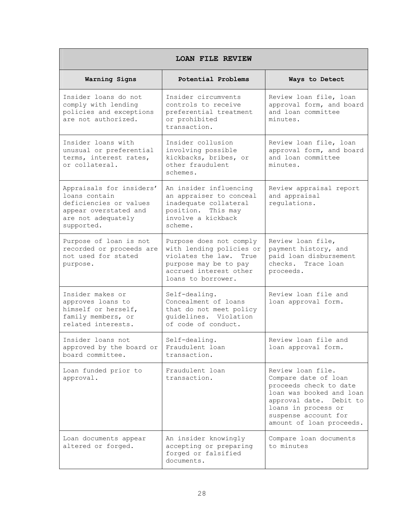| <b>LOAN FILE REVIEW</b>                                                                                                          |                                                                                                                                                           |                                                                                                                                                                                                       |
|----------------------------------------------------------------------------------------------------------------------------------|-----------------------------------------------------------------------------------------------------------------------------------------------------------|-------------------------------------------------------------------------------------------------------------------------------------------------------------------------------------------------------|
| Warning Signs                                                                                                                    | Potential Problems                                                                                                                                        | Ways to Detect                                                                                                                                                                                        |
| Insider loans do not<br>comply with lending<br>policies and exceptions<br>are not authorized.                                    | Insider circumvents<br>controls to receive<br>preferential treatment<br>or prohibited<br>transaction.                                                     | Review loan file, loan<br>approval form, and board<br>and loan committee<br>minutes.                                                                                                                  |
| Insider loans with<br>unusual or preferential<br>terms, interest rates,<br>or collateral.                                        | Insider collusion<br>involving possible<br>kickbacks, bribes, or<br>other fraudulent<br>schemes.                                                          | Review loan file, loan<br>approval form, and board<br>and loan committee<br>minutes.                                                                                                                  |
| Appraisals for insiders'<br>loans contain<br>deficiencies or values<br>appear overstated and<br>are not adequately<br>supported. | An insider influencing<br>an appraiser to conceal<br>inadequate collateral<br>position. This may<br>involve a kickback<br>scheme.                         | Review appraisal report<br>and appraisal<br>requlations.                                                                                                                                              |
| Purpose of loan is not<br>recorded or proceeds are<br>not used for stated<br>purpose.                                            | Purpose does not comply<br>with lending policies or<br>violates the law.<br>True<br>purpose may be to pay<br>accrued interest other<br>loans to borrower. | Review loan file,<br>payment history, and<br>paid loan disbursement<br>checks. Trace loan<br>proceeds.                                                                                                |
| Insider makes or<br>approves loans to<br>himself or herself,<br>family members, or<br>related interests.                         | Self-dealing.<br>Concealment of loans<br>that do not meet policy<br>guidelines. Violation<br>of code of conduct.                                          | Review loan file and<br>loan approval form.                                                                                                                                                           |
| Insider loans not<br>approved by the board or<br>board committee.                                                                | Self-dealing.<br>Fraudulent loan<br>transaction.                                                                                                          | Review loan file and<br>loan approval form.                                                                                                                                                           |
| Loan funded prior to<br>approval.                                                                                                | Fraudulent loan<br>transaction.                                                                                                                           | Review loan file.<br>Compare date of loan<br>proceeds check to date<br>loan was booked and loan<br>approval date. Debit to<br>loans in process or<br>suspense account for<br>amount of loan proceeds. |
| Loan documents appear<br>altered or forged.                                                                                      | An insider knowingly<br>accepting or preparing<br>forged or falsified<br>documents.                                                                       | Compare loan documents<br>to minutes                                                                                                                                                                  |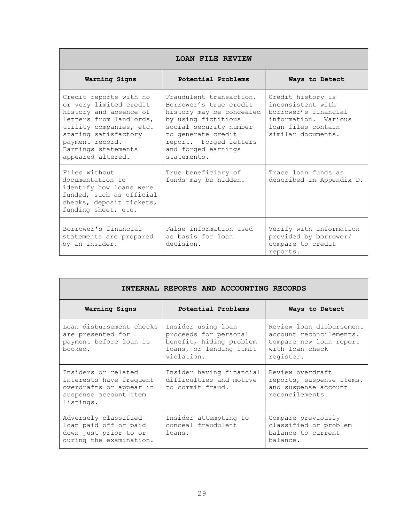| LOAN FILE REVIEW                                                                                                                                                                                                        |                                                                                                                                                                                                                      |                                                                                                                                    |
|-------------------------------------------------------------------------------------------------------------------------------------------------------------------------------------------------------------------------|----------------------------------------------------------------------------------------------------------------------------------------------------------------------------------------------------------------------|------------------------------------------------------------------------------------------------------------------------------------|
| Warning Signs                                                                                                                                                                                                           | Potential Problems                                                                                                                                                                                                   | Ways to Detect                                                                                                                     |
| Credit reports with no<br>or very limited credit<br>history and absence of<br>letters from landlords,<br>utility companies, etc.<br>stating satisfactory<br>payment record.<br>Earnings statements<br>appeared altered. | Fraudulent transaction.<br>Borrower's true credit<br>history may be concealed<br>by using fictitious<br>social security number<br>to generate credit<br>report. Forged letters<br>and forged earnings<br>statements. | Credit history is<br>inconsistent with<br>borrower's financial<br>information, Various<br>loan files contain<br>similar documents. |
| Files without<br>documentation to<br>identify how loans were<br>funded, such as official<br>checks, deposit tickets,<br>funding sheet, etc.                                                                             | True beneficiary of<br>funds may be hidden.                                                                                                                                                                          | Trace loan funds as<br>described in Appendix D.                                                                                    |
| Borrower's financial<br>statements are prepared<br>by an insider.                                                                                                                                                       | False information used<br>as basis for loan<br>decision.                                                                                                                                                             | Verify with information<br>provided by borrower/<br>compare to credit<br>reports.                                                  |

| INTERNAL REPORTS AND ACCOUNTING RECORDS                                                                         |                                                                                                                 |                                                                                                                |
|-----------------------------------------------------------------------------------------------------------------|-----------------------------------------------------------------------------------------------------------------|----------------------------------------------------------------------------------------------------------------|
| Warning Signs                                                                                                   | Potential Problems                                                                                              | Ways to Detect                                                                                                 |
| Loan disbursement checks<br>are presented for<br>payment before loan is<br>booked.                              | Insider using loan<br>proceeds for personal<br>benefit, hiding problem<br>loans, or lending limit<br>violation. | Review loan disbursement<br>account reconcilements.<br>Compare new loan report<br>with loan check<br>register. |
| Insiders or related<br>interests have frequent<br>overdrafts or appear in<br>suspense account item<br>listings. | Insider having financial<br>difficulties and motive<br>to commit fraud.                                         | Review overdraft<br>reports, suspense items,<br>and suspense account<br>reconcilements.                        |
| Adversely classified<br>loan paid off or paid<br>down just prior to or<br>during the examination.               | Insider attempting to<br>conceal fraudulent<br>loans.                                                           | Compare previously<br>classified or problem<br>balance to current<br>balance.                                  |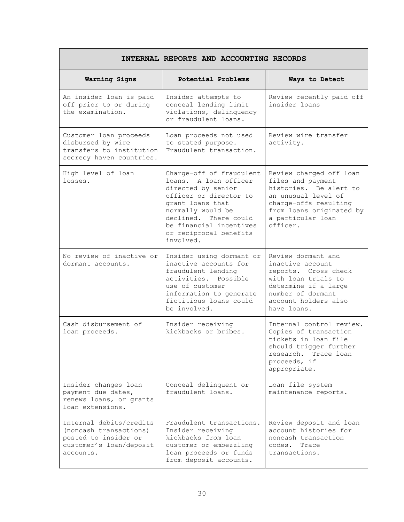| INTERNAL REPORTS AND ACCOUNTING RECORDS                                                                           |                                                                                                                                                                                                                                       |                                                                                                                                                                                     |
|-------------------------------------------------------------------------------------------------------------------|---------------------------------------------------------------------------------------------------------------------------------------------------------------------------------------------------------------------------------------|-------------------------------------------------------------------------------------------------------------------------------------------------------------------------------------|
| Warning Signs                                                                                                     | Potential Problems                                                                                                                                                                                                                    | Ways to Detect                                                                                                                                                                      |
| An insider loan is paid<br>off prior to or during<br>the examination.                                             | Insider attempts to<br>conceal lending limit<br>violations, delinquency<br>or fraudulent loans.                                                                                                                                       | Review recently paid off<br>insider loans                                                                                                                                           |
| Customer loan proceeds<br>disbursed by wire<br>transfers to institution<br>secrecy haven countries.               | Loan proceeds not used<br>to stated purpose.<br>Fraudulent transaction.                                                                                                                                                               | Review wire transfer<br>activity.                                                                                                                                                   |
| High level of loan<br>losses.                                                                                     | Charge-off of fraudulent<br>loans. A loan officer<br>directed by senior<br>officer or director to<br>grant loans that<br>normally would be<br>declined. There could<br>be financial incentives<br>or reciprocal benefits<br>involved. | Review charged off loan<br>files and payment<br>histories. Be alert to<br>an unusual level of<br>charge-offs resulting<br>from loans originated by<br>a particular loan<br>officer. |
| No review of inactive or<br>dormant accounts.                                                                     | Insider using dormant or<br>inactive accounts for<br>fraudulent lending<br>activities. Possible<br>use of customer<br>information to generate<br>fictitious loans could<br>be involved.                                               | Review dormant and<br>inactive account<br>reports. Cross check<br>with loan trials to<br>determine if a large<br>number of dormant<br>account holders also<br>have loans.           |
| Cash disbursement of<br>loan proceeds.                                                                            | Insider receiving<br>kickbacks or bribes.                                                                                                                                                                                             | Internal control review.<br>Copies of transaction<br>tickets in loan file<br>should trigger further<br>research. Trace loan<br>proceeds, if<br>appropriate.                         |
| Insider changes loan<br>payment due dates,<br>renews loans, or grants<br>loan extensions.                         | Conceal delinquent or<br>fraudulent loans.                                                                                                                                                                                            | Loan file system<br>maintenance reports.                                                                                                                                            |
| Internal debits/credits<br>(noncash transactions)<br>posted to insider or<br>customer's loan/deposit<br>accounts. | Fraudulent transactions.<br>Insider receiving<br>kickbacks from loan<br>customer or embezzling<br>loan proceeds or funds<br>from deposit accounts.                                                                                    | Review deposit and loan<br>account histories for<br>noncash transaction<br>codes.<br>Trace<br>transactions.                                                                         |

# **INTERNAL REPORTS AND ACCOUNTING RECORDS**

 $\mathbf{I}$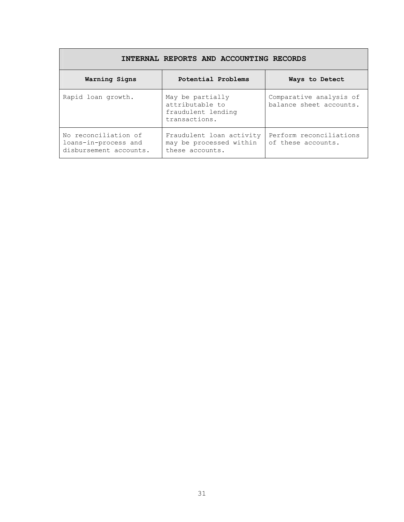| INTERNAL REPORTS AND ACCOUNTING RECORDS                                |                                                                            |                                                    |
|------------------------------------------------------------------------|----------------------------------------------------------------------------|----------------------------------------------------|
| Warning Signs                                                          | Potential Problems                                                         | Ways to Detect                                     |
| Rapid loan growth.                                                     | May be partially<br>attributable to<br>fraudulent lending<br>transactions. | Comparative analysis of<br>balance sheet accounts. |
| No reconciliation of<br>loans-in-process and<br>disbursement accounts. | Fraudulent loan activity<br>may be processed within<br>these accounts.     | Perform reconciliations<br>of these accounts.      |

Г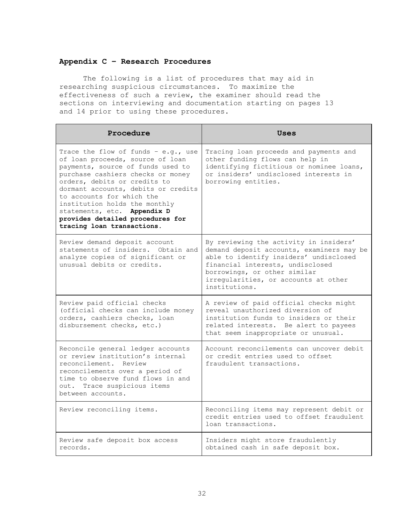# **Appendix C – Research Procedures**

The following is a list of procedures that may aid in researching suspicious circumstances. To maximize the effectiveness of such a review, the examiner should read the sections on interviewing and documentation starting on pages 13 and 14 prior to using these procedures.

| Procedure                                                                                                                                                                                                                                                                                                                                                                               | Uses                                                                                                                                                                                                                                                       |
|-----------------------------------------------------------------------------------------------------------------------------------------------------------------------------------------------------------------------------------------------------------------------------------------------------------------------------------------------------------------------------------------|------------------------------------------------------------------------------------------------------------------------------------------------------------------------------------------------------------------------------------------------------------|
| Trace the flow of funds - e.g., use<br>of loan proceeds, source of loan<br>payments, source of funds used to<br>purchase cashiers checks or money<br>orders, debits or credits to<br>dormant accounts, debits or credits<br>to accounts for which the<br>institution holds the monthly<br>statements, etc. Appendix D<br>provides detailed procedures for<br>tracing loan transactions. | Tracing loan proceeds and payments and<br>other funding flows can help in<br>identifying fictitious or nominee loans,<br>or insiders' undisclosed interests in<br>borrowing entities.                                                                      |
| Review demand deposit account<br>statements of insiders. Obtain and<br>analyze copies of significant or<br>unusual debits or credits.                                                                                                                                                                                                                                                   | By reviewing the activity in insiders'<br>demand deposit accounts, examiners may be<br>able to identify insiders' undisclosed<br>financial interests, undisclosed<br>borrowings, or other similar<br>irregularities, or accounts at other<br>institutions. |
| Review paid official checks<br>(official checks can include money<br>orders, cashiers checks, loan<br>disbursement checks, etc.)                                                                                                                                                                                                                                                        | A review of paid official checks might<br>reveal unauthorized diversion of<br>institution funds to insiders or their<br>related interests. Be alert to payees<br>that seem inappropriate or unusual.                                                       |
| Reconcile general ledger accounts<br>or review institution's internal<br>reconcilement. Review<br>reconcilements over a period of<br>time to observe fund flows in and<br>out. Trace suspicious items<br>between accounts.                                                                                                                                                              | Account reconcilements can uncover debit<br>or credit entries used to offset<br>fraudulent transactions.                                                                                                                                                   |
| Review reconciling items.                                                                                                                                                                                                                                                                                                                                                               | Reconciling items may represent debit or<br>credit entries used to offset fraudulent<br>loan transactions.                                                                                                                                                 |
| Review safe deposit box access<br>records.                                                                                                                                                                                                                                                                                                                                              | Insiders might store fraudulently<br>obtained cash in safe deposit box.                                                                                                                                                                                    |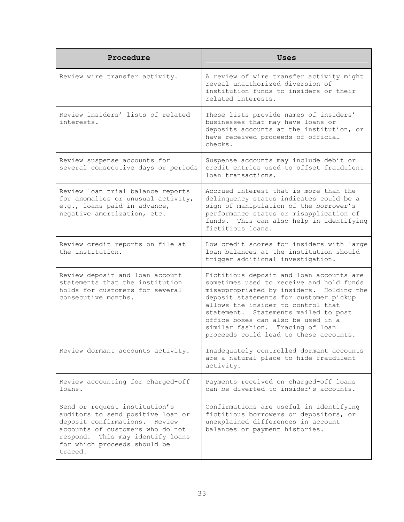| Procedure                                                                                                                                                                                                              | <b>Uses</b>                                                                                                                                                                                                                                                                                                                                                                  |
|------------------------------------------------------------------------------------------------------------------------------------------------------------------------------------------------------------------------|------------------------------------------------------------------------------------------------------------------------------------------------------------------------------------------------------------------------------------------------------------------------------------------------------------------------------------------------------------------------------|
| Review wire transfer activity.                                                                                                                                                                                         | A review of wire transfer activity might<br>reveal unauthorized diversion of<br>institution funds to insiders or their<br>related interests.                                                                                                                                                                                                                                 |
| Review insiders' lists of related<br>interests.                                                                                                                                                                        | These lists provide names of insiders'<br>businesses that may have loans or<br>deposits accounts at the institution, or<br>have received proceeds of official<br>checks.                                                                                                                                                                                                     |
| Review suspense accounts for<br>several consecutive days or periods                                                                                                                                                    | Suspense accounts may include debit or<br>credit entries used to offset fraudulent<br>loan transactions.                                                                                                                                                                                                                                                                     |
| Review loan trial balance reports<br>for anomalies or unusual activity,<br>e.g., loans paid in advance,<br>negative amortization, etc.                                                                                 | Accrued interest that is more than the<br>delinquency status indicates could be a<br>sign of manipulation of the borrower's<br>performance status or misapplication of<br>funds. This can also help in identifying<br>fictitious loans.                                                                                                                                      |
| Review credit reports on file at<br>the institution.                                                                                                                                                                   | Low credit scores for insiders with large<br>loan balances at the institution should<br>trigger additional investigation.                                                                                                                                                                                                                                                    |
| Review deposit and loan account<br>statements that the institution<br>holds for customers for several<br>consecutive months.                                                                                           | Fictitious deposit and loan accounts are<br>sometimes used to receive and hold funds<br>misappropriated by insiders. Holding the<br>deposit statements for customer pickup<br>allows the insider to control that<br>statement. Statements mailed to post<br>office boxes can also be used in a<br>similar fashion. Tracing of loan<br>proceeds could lead to these accounts. |
| Review dormant accounts activity.                                                                                                                                                                                      | Inadequately controlled dormant accounts<br>are a natural place to hide fraudulent<br>activity.                                                                                                                                                                                                                                                                              |
| Review accounting for charged-off<br>loans.                                                                                                                                                                            | Payments received on charged-off loans<br>can be diverted to insider's accounts.                                                                                                                                                                                                                                                                                             |
| Send or request institution's<br>auditors to send positive loan or<br>deposit confirmations. Review<br>accounts of customers who do not<br>respond. This may identify loans<br>for which proceeds should be<br>traced. | Confirmations are useful in identifying<br>fictitious borrowers or depositors, or<br>unexplained differences in account<br>balances or payment histories.                                                                                                                                                                                                                    |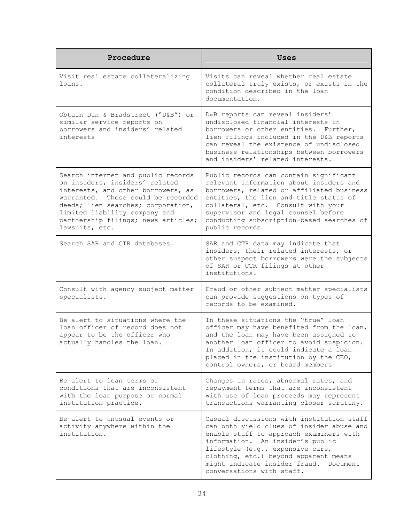| Procedure                                                                                                                                                                                                                                                                        | <b>Uses</b>                                                                                                                                                                                                                                                                                                               |
|----------------------------------------------------------------------------------------------------------------------------------------------------------------------------------------------------------------------------------------------------------------------------------|---------------------------------------------------------------------------------------------------------------------------------------------------------------------------------------------------------------------------------------------------------------------------------------------------------------------------|
| Visit real estate collateralizing<br>loans.                                                                                                                                                                                                                                      | Visits can reveal whether real estate<br>collateral truly exists, or exists in the<br>condition described in the loan<br>documentation.                                                                                                                                                                                   |
| Obtain Dun & Bradstreet ("D&B") or<br>similar service reports on<br>borrowers and insiders' related<br>interests                                                                                                                                                                 | D&B reports can reveal insiders'<br>undisclosed financial interests in<br>borrowers or other entities. Further,<br>lien filings included in the D&B reports<br>can reveal the existence of undisclosed<br>business relationships between borrowers<br>and insiders' related interests.                                    |
| Search internet and public records<br>on insiders, insiders' related<br>interests, and other borrowers, as<br>warranted. These could be recorded<br>deeds; lien searches; corporation,<br>limited liability company and<br>partnership filings; news articles;<br>lawsuits, etc. | Public records can contain significant<br>relevant information about insiders and<br>borrowers, related or affiliated business<br>entities, the lien and title status of<br>collateral, etc. Consult with your<br>supervisor and legal counsel before<br>conducting subscription-based searches of<br>public records.     |
| Search SAR and CTR databases.                                                                                                                                                                                                                                                    | SAR and CTR data may indicate that<br>insiders, their related interests, or<br>other suspect borrowers were the subjects<br>of SAR or CTR filings at other<br>institutions.                                                                                                                                               |
| Consult with agency subject matter<br>specialists.                                                                                                                                                                                                                               | Fraud or other subject matter specialists<br>can provide suggestions on types of<br>records to be examined.                                                                                                                                                                                                               |
| Be alert to situations where the<br>loan officer of record does not<br>appear to be the officer who<br>actually handles the loan.                                                                                                                                                | In these situations the "true" loan<br>officer may have benefited from the loan,<br>and the loan may have been assigned to<br>another loan officer to avoid suspicion.<br>In addition, it could indicate a loan<br>placed in the institution by the CEO,<br>control owners, or board members                              |
| Be alert to loan terms or<br>conditions that are inconsistent<br>with the loan purpose or normal<br>institution practice.                                                                                                                                                        | Changes in rates, abnormal rates, and<br>repayment terms that are inconsistent<br>with use of loan proceeds may represent<br>transactions warranting closer scrutiny.                                                                                                                                                     |
| Be alert to unusual events or<br>activity anywhere within the<br>institution.                                                                                                                                                                                                    | Casual discussions with institution staff<br>can both yield clues of insider abuse and<br>enable staff to approach examiners with<br>information. An insider's public<br>lifestyle (e.g., expensive cars,<br>clothing, etc.) beyond apparent means<br>might indicate insider fraud. Document<br>conversations with staff. |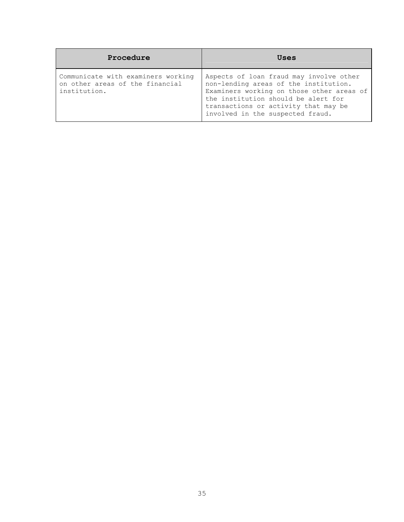| Procedure                                                                             | Uses                                                                                                                                                                                                                                             |
|---------------------------------------------------------------------------------------|--------------------------------------------------------------------------------------------------------------------------------------------------------------------------------------------------------------------------------------------------|
| Communicate with examiners working<br>on other areas of the financial<br>institution. | Aspects of loan fraud may involve other<br>non-lending areas of the institution.<br>Examiners working on those other areas of<br>the institution should be alert for<br>transactions or activity that may be<br>involved in the suspected fraud. |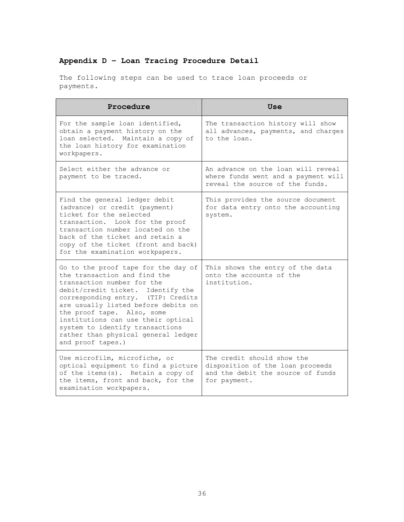# **Appendix D – Loan Tracing Procedure Detail**

The following steps can be used to trace loan proceeds or payments.

| Procedure                                                                                                                                                                                                                                                                                                                                                                              | Use                                                                                                                 |
|----------------------------------------------------------------------------------------------------------------------------------------------------------------------------------------------------------------------------------------------------------------------------------------------------------------------------------------------------------------------------------------|---------------------------------------------------------------------------------------------------------------------|
| For the sample loan identified,<br>obtain a payment history on the<br>loan selected. Maintain a copy of<br>the loan history for examination<br>workpapers.                                                                                                                                                                                                                             | The transaction history will show<br>all advances, payments, and charges<br>to the loan.                            |
| Select either the advance or<br>payment to be traced.                                                                                                                                                                                                                                                                                                                                  | An advance on the loan will reveal<br>where funds went and a payment will<br>reveal the source of the funds.        |
| Find the general ledger debit<br>(advance) or credit (payment)<br>ticket for the selected<br>transaction. Look for the proof<br>transaction number located on the<br>back of the ticket and retain a<br>copy of the ticket (front and back)<br>for the examination workpapers.                                                                                                         | This provides the source document<br>for data entry onto the accounting<br>system.                                  |
| Go to the proof tape for the day of<br>the transaction and find the<br>transaction number for the<br>debit/credit ticket. Identify the<br>corresponding entry. (TIP: Credits<br>are usually listed before debits on<br>the proof tape. Also, some<br>institutions can use their optical<br>system to identify transactions<br>rather than physical general ledger<br>and proof tapes.) | This shows the entry of the data<br>onto the accounts of the<br>institution.                                        |
| Use microfilm, microfiche, or<br>optical equipment to find a picture<br>of the items(s). Retain a copy of<br>the items, front and back, for the<br>examination workpapers.                                                                                                                                                                                                             | The credit should show the<br>disposition of the loan proceeds<br>and the debit the source of funds<br>for payment. |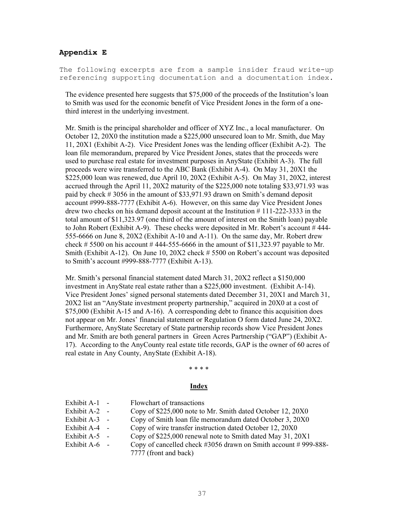### **Appendix E**

The following excerpts are from a sample insider fraud write-up referencing supporting documentation and a documentation index.

The evidence presented here suggests that \$75,000 of the proceeds of the Institution's loan to Smith was used for the economic benefit of Vice President Jones in the form of a onethird interest in the underlying investment.

Mr. Smith is the principal shareholder and officer of XYZ Inc., a local manufacturer. On October 12, 20X0 the institution made a \$225,000 unsecured loan to Mr. Smith, due May 11, 20X1 (Exhibit A-2). Vice President Jones was the lending officer (Exhibit A-2). The loan file memorandum, prepared by Vice President Jones, states that the proceeds were used to purchase real estate for investment purposes in AnyState (Exhibit A-3). The full proceeds were wire transferred to the ABC Bank (Exhibit A-4). On May 31, 20X1 the \$225,000 loan was renewed, due April 10, 20X2 (Exhibit A-5). On May 31, 20X2, interest accrued through the April 11, 20X2 maturity of the \$225,000 note totaling \$33,971.93 was paid by check # 3056 in the amount of \$33,971.93 drawn on Smith's demand deposit account #999-888-7777 (Exhibit A-6). However, on this same day Vice President Jones drew two checks on his demand deposit account at the Institution # 111-222-3333 in the total amount of \$11,323.97 (one third of the amount of interest on the Smith loan) payable to John Robert (Exhibit A-9). These checks were deposited in Mr. Robert's account # 444- 555-6666 on June 8, 20X2 (Exhibit A-10 and A-11). On the same day, Mr. Robert drew check  $\# 5500$  on his account  $\# 444-555-6666$  in the amount of \$11,323.97 payable to Mr. Smith (Exhibit A-12). On June 10, 20X2 check # 5500 on Robert's account was deposited to Smith's account #999-888-7777 (Exhibit A-13).

Mr. Smith's personal financial statement dated March 31, 20X2 reflect a \$150,000 investment in AnyState real estate rather than a \$225,000 investment. (Exhibit A-14). Vice President Jones' signed personal statements dated December 31, 20X1 and March 31, 20X2 list an "AnyState investment property partnership," acquired in 20X0 at a cost of \$75,000 (Exhibit A-15 and A-16). A corresponding debt to finance this acquisition does not appear on Mr. Jones' financial statement or Regulation O form dated June 24, 20X2. Furthermore, AnyState Secretary of State partnership records show Vice President Jones and Mr. Smith are both general partners in Green Acres Partnership ("GAP") (Exhibit A-17). According to the AnyCounty real estate title records, GAP is the owner of 60 acres of real estate in Any County, AnyState (Exhibit A-18).

#### \* \* \* \*

#### **Index**

| Exhibit $A-1$ - | Flowchart of transactions                                            |
|-----------------|----------------------------------------------------------------------|
| Exhibit $A-2$ - | Copy of \$225,000 note to Mr. Smith dated October 12, 20X0           |
| Exhibit $A-3$ - | Copy of Smith loan file memorandum dated October 3, 20X0             |
| Exhibit $A-4$ - | Copy of wire transfer instruction dated October 12, 20X0             |
| Exhibit $A-5$ - | Copy of \$225,000 renewal note to Smith dated May 31, 20X1           |
| Exhibit $A-6$ - | Copy of cancelled check $\#3056$ drawn on Smith account $\#999-888-$ |
|                 | 7777 (front and back)                                                |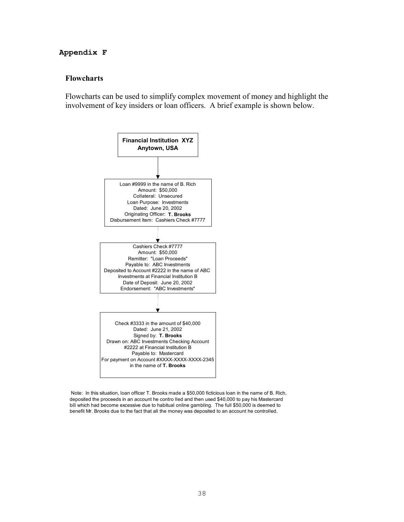# **Appendix F**

# **Flowcharts**

Flowcharts can be used to simplify complex movement of money and highlight the involvement of key insiders or loan officers. A brief example is shown below.



 Note: In this situation, loan officer T. Brooks made a \$50,000 ficticious loan in the name of B. Rich, deposited the proceeds in an account he contro lled and then used \$40,000 to pay his Mastercard bill which had become excessive due to habitual online gambling. The full \$50,000 is deemed to benefit Mr. Brooks due to the fact that all the money was deposited to an account he controlled.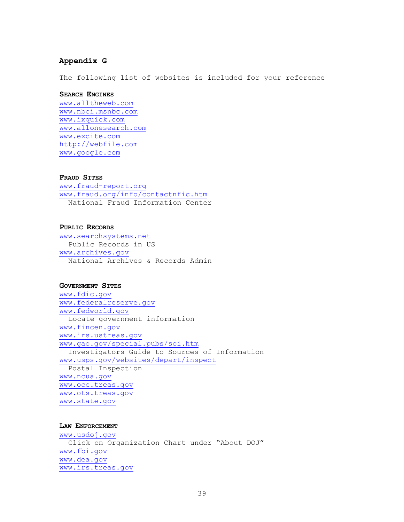#### **Appendix G**

The following list of websites is included for your reference

#### **SEARCH ENGINES**

www.alltheweb.com www.nbci.msnbc.com www.ixquick.com www.allonesearch.com www.excite.com http://webfile.com www.google.com

#### **FRAUD SITES**

www.fraud-report.org www.fraud.org/info/contactnfic.htm National Fraud Information Center

#### **PUBLIC RECORDS**

www.searchsystems.net Public Records in US www.archives.gov National Archives & Records Admin

#### **GOVERNMENT SITES**

www.fdic.gov www.federalreserve.gov www.fedworld.gov Locate government information www.fincen.gov www.irs.ustreas.gov www.gao.gov/special.pubs/soi.htm Investigators Guide to Sources of Information www.usps.gov/websites/depart/inspect Postal Inspection www.ncua.gov www.occ.treas.gov www.ots.treas.gov www.state.gov

# **LAW ENFORCEMENT**

www.usdoj.gov Click on Organization Chart under "About DOJ" www.fbi.gov www.dea.gov www.irs.treas.gov